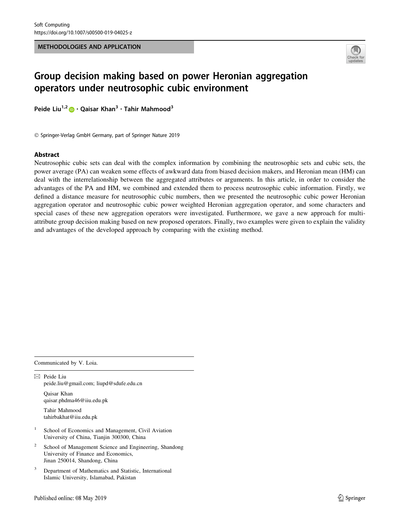METHODOLOGIES AND APPLICATION



# Group decision making based on power Heronian aggregation operators under neutrosophic cubic environment

Peide Liu<sup>1,2</sup>  $\bullet$  · Qaisar Khan<sup>3</sup> · Tahir Mahmood<sup>3</sup>

- Springer-Verlag GmbH Germany, part of Springer Nature 2019

### Abstract

Neutrosophic cubic sets can deal with the complex information by combining the neutrosophic sets and cubic sets, the power average (PA) can weaken some effects of awkward data from biased decision makers, and Heronian mean (HM) can deal with the interrelationship between the aggregated attributes or arguments. In this article, in order to consider the advantages of the PA and HM, we combined and extended them to process neutrosophic cubic information. Firstly, we defined a distance measure for neutrosophic cubic numbers, then we presented the neutrosophic cubic power Heronian aggregation operator and neutrosophic cubic power weighted Heronian aggregation operator, and some characters and special cases of these new aggregation operators were investigated. Furthermore, we gave a new approach for multiattribute group decision making based on new proposed operators. Finally, two examples were given to explain the validity and advantages of the developed approach by comparing with the existing method.

Communicated by V. Loia.

 $\boxtimes$  Peide Liu peide.liu@gmail.com; liupd@sdufe.edu.cn Qaisar Khan qaisar.phdma46@iiu.edu.pk Tahir Mahmood tahirbakhat@iiu.edu.pk

<sup>1</sup> School of Economics and Management, Civil Aviation University of China, Tianjin 300300, China

- School of Management Science and Engineering, Shandong University of Finance and Economics, Jinan 250014, Shandong, China
- <sup>3</sup> Department of Mathematics and Statistic, International Islamic University, Islamabad, Pakistan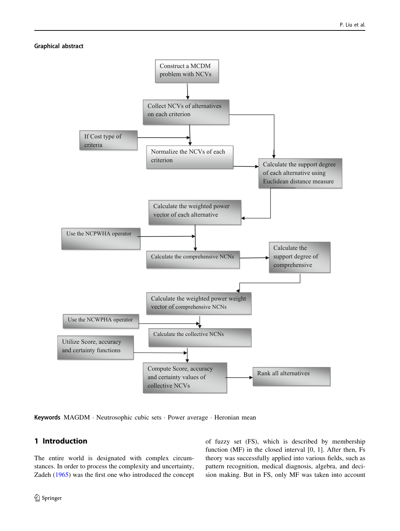### Graphical abstract



Keywords MAGDM · Neutrosophic cubic sets · Power average · Heronian mean

# 1 Introduction

The entire world is designated with complex circumstances. In order to process the complexity and uncertainty, Zadeh [\(1965](#page-26-0)) was the first one who introduced the concept of fuzzy set (FS), which is described by membership function (MF) in the closed interval [0, 1]. After then, Fs theory was successfully applied into various fields, such as pattern recognition, medical diagnosis, algebra, and decision making. But in FS, only MF was taken into account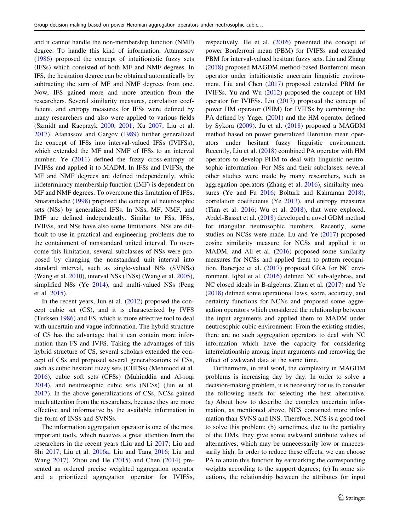and it cannot handle the non-membership function (NMF) degree. To handle this kind of information, Attanassov [\(1986](#page-25-0)) proposed the concept of intuitionistic fuzzy sets (IFSs) which consisted of both MF and NMF degrees. In IFS, the hesitation degree can be obtained automatically by subtracting the sum of MF and NMF degrees from one. Now, IFS gained more and more attention from the researchers. Several similarity measures, correlation coefficient, and entropy measures for IFSs were defined by many researchers and also were applied to various fields (Szmidt and Kacprzyk [2000](#page-26-0), [2001](#page-26-0); Xu [2007](#page-26-0); Liu et al. [2017\)](#page-25-0). Atanassov and Gargov ([1989\)](#page-25-0) further generalized the concept of IFSs into interval-valued IFSs (IVIFSs), which extended the MF and NMF of IFSs to an interval number. Ye ([2011\)](#page-26-0) defined the fuzzy cross-entropy of IVIFSs and applied it to MADM. In IFSs and IVIFSs, the MF and NMF degrees are defined independently, while indeterminacy membership function (IMF) is dependent on MF and NMF degrees. To overcome this limitation of IFSs, Smarandache [\(1998](#page-26-0)) proposed the concept of neutrosophic sets (NSs) by generalized IFSs. In NSs, MF, NMF, and IMF are defined independently. Similar to FSs, IFSs, IVIFSs, and NSs have also some limitations. NSs are difficult to use in practical and engineering problems due to the containment of nonstandard united interval. To overcome this limitation, several subclasses of NSs were proposed by changing the nonstandard unit interval into standard interval, such as single-valued NSs (SVNSs) (Wang et al. [2010\)](#page-26-0), interval NSs (INSs) (Wang et al. [2005](#page-26-0)), simplified NSs (Ye [2014\)](#page-26-0), and multi-valued NSs (Peng et al. [2015\)](#page-26-0).

In the recent years, Jun et al.  $(2012)$  proposed the concept cubic set (CS), and it is characterized by IVFS (Turksen [1986](#page-26-0)) and FS, which is more effective tool to deal with uncertain and vague information. The hybrid structure of CS has the advantage that it can contain more information than FS and IVFS. Taking the advantages of this hybrid structure of CS, several scholars extended the concept of CSs and proposed several generalizations of CSs, such as cubic hesitant fuzzy sets (CHFSs) (Mehmood et al. [2016\)](#page-26-0), cubic soft sets (CFSs) (Muhiuddin and Al-roqi [2014\)](#page-26-0), and neutrosophic cubic sets (NCSs) (Jun et al. [2017\)](#page-25-0). In the above generalizations of CSs, NCSs gained much attention from the researchers, because they are more effective and informative by the available information in the form of INSs and SVNSs.

The information aggregation operator is one of the most important tools, which receives a great attention from the researchers in the recent years (Liu and Li [2017;](#page-25-0) Liu and Shi [2017](#page-25-0); Liu et al. [2016a](#page-25-0); Liu and Tang [2016](#page-25-0); Liu and Wang [2017\)](#page-25-0). Zhou and He [\(2015](#page-26-0)) and Chen ([2014\)](#page-25-0) presented an ordered precise weighted aggregation operator and a prioritized aggregation operator for IVIFSs, respectively. He et al. ([2016\)](#page-25-0) presented the concept of power Bonferroni mean (PBM) for IVIFSs and extended PBM for interval-valued hesitant fuzzy sets. Liu and Zhang [\(2018](#page-25-0)) proposed MAGDM method-based Bonferroni mean operator under intuitionistic uncertain linguistic environment. Liu and Chen ([2017\)](#page-25-0) proposed extended PBM for IVIFSs. Yu and Wu [\(2012](#page-26-0)) proposed the concept of HM operator for IVIFSs. Liu [\(2017](#page-25-0)) proposed the concept of power HM operator (PHM) for IVIFSs by combining the PA defined by Yager [\(2001](#page-26-0)) and the HM operator defined by Sykora [\(2009](#page-26-0)). Ju et al. [\(2018\)](#page-25-0) proposed a MAGDM method based on power generalized Heronian mean operators under hesitant fuzzy linguistic environment. Recently, Liu et al. ([2018\)](#page-26-0) combined PA operator with HM operators to develop PHM to deal with linguistic neutrosophic information. For NSs and their subclasses, several other studies were made by many researchers, such as aggregation operators (Zhang et al. [2016](#page-26-0)), similarity measures (Ye and Fu [2016;](#page-26-0) Bolturk and Kahraman [2018](#page-25-0)), correlation coefficients (Ye [2013](#page-26-0)), and entropy measures (Tian et al. [2016](#page-26-0); Wu et al. [2018](#page-26-0)), that were explored. Abdel-Basset et al. ([2018\)](#page-25-0) developed a novel GDM method for triangular neutrosophic numbers. Recently, some studies on NCSs were made. Lu and Ye ([2017\)](#page-26-0) proposed cosine similarity measure for NCSs and applied it to MADM, and Ali et al. [\(2016](#page-25-0)) proposed some similarity measures for NCSs and applied them to pattern recognition. Banerjee et al. ([2017\)](#page-25-0) proposed GRA for NC environment. Iqbal et al. ([2016\)](#page-25-0) defined NC sub-algebras, and NC closed ideals in B-algebras. Zhan et al.  $(2017)$  $(2017)$  and Ye [\(2018](#page-26-0)) defined some operational laws, score, accuracy, and certainty functions for NCNs and proposed some aggregation operators which considered the relationship between the input arguments and applied them to MADM under neutrosophic cubic environment. From the existing studies, there are no such aggregation operators to deal with NC information which have the capacity for considering interrelationship among input arguments and removing the effect of awkward data at the same time.

Furthermore, in real word, the complexity in MAGDM problems is increasing day by day. In order to solve a decision-making problem, it is necessary for us to consider the following needs for selecting the best alternative. (a) About how to describe the complex uncertain information, as mentioned above, NCS contained more information than SVNS and INS. Therefore, NCS is a good tool to solve this problem; (b) sometimes, due to the partiality of the DMs, they give some awkward attribute values of alternatives, which may be unnecessarily low or unnecessarily high. In order to reduce these effects, we can choose PA to attain this function by earmarking the corresponding weights according to the support degrees; (c) In some situations, the relationship between the attributes (or input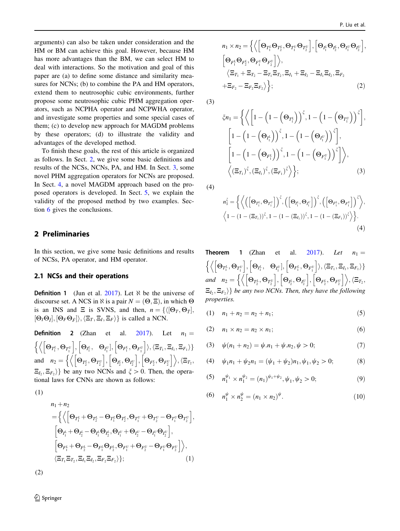<span id="page-3-0"></span>arguments) can also be taken under consideration and the HM or BM can achieve this goal. However, because HM has more advantages than the BM, we can select HM to deal with interactions. So the motivation and goal of this paper are (a) to define some distance and similarity measures for NCNs; (b) to combine the PA and HM operators, extend them to neutrosophic cubic environments, further propose some neutrosophic cubic PHM aggregation operators, such as NCPHA operator and NCPWHA operator, and investigate some properties and some special cases of them; (c) to develop new approach for MAGDM problems by these operators; (d) to illustrate the validity and advantages of the developed method.

To finish these goals, the rest of this article is organized as follows. In Sect. 2, we give some basic definitions and results of the NCSs, NCNs, PA, and HM. In Sect. [3](#page-5-0), some novel PHM aggregation operators for NCNs are proposed. In Sect. [4](#page-16-0), a novel MAGDM approach based on the proposed operators is developed. In Sect. [5](#page-17-0), we explain the validity of the proposed method by two examples. Section [6](#page-25-0) gives the conclusions.

# 2 Preliminaries

In this section, we give some basic definitions and results of NCSs, PA operator, and HM operator.

#### 2.1 NCSs and their operations

**Definition 1** (Jun et al. [2017\)](#page-25-0). Let  $\aleph$  be the universe of discourse set. A NCS in  $\aleph$  is a pair  $N = (\Theta, \Xi)$ , in which  $\Theta$ is an INS and  $\Xi$  is SVNS, and then,  $n = \{ \langle [\Theta_T, \Theta_{\overline{T}}],$  $[\Theta_I \Theta_{\bar{I}}], [\Theta_F \Theta_{\bar{F}}] \rangle, \langle \Xi_T, \Xi_I, \Xi_F \rangle \}$  is called a NCN.

**Definition 2** (Zhan et al. [2017](#page-26-0)). Let  $n_1 =$  $\Big[\Theta_{T^L_1},\Theta_{T^U_1}\Big], \Big[\Theta_{I^L_1},$  $\overline{C}$  $\left\{ \Theta_{I_1^U}\right\} , \left\{ \Theta_{F_1^L}, \Theta_{F_1^U}\right\} \rangle , \langle \Xi_{T_1}, \Xi_{I_1}, \Xi_{F_1}\rangle \}$ and  $n_2 = \left\{ \left\langle \left[\Theta_{T_2^L}, \Theta_{T_2^U}\right], \left[\Theta_{I_2^L}, \Theta_{I_2^U}\right], \left[\Theta_{F_2^L}, \Theta_{F_2^U}\right] \right\rangle, \left\langle \Xi_{T_2}, \right.\right\}$  $\{E_{I_2}, E_{F_2}\}\}$  be any two NCNs and  $\xi > 0$ . Then, the operational laws for CNNs are shown as follows:

(1)

$$
n_1 + n_2
$$
\n
$$
= \left\{ \left\langle \left[ \Theta_{T_1^L} + \Theta_{T_2^L} - \Theta_{T_1^L} \Theta_{T_2^L}, \Theta_{T_1^U} + \Theta_{T_2^U} - \Theta_{T_1^U} \Theta_{T_2^U} \right], \left[ \Theta_{I_1^L} + \Theta_{I_2^L} - \Theta_{I_1^L} \Theta_{I_2^L}, \Theta_{I_1^U} + \Theta_{I_2^U} - \Theta_{I_1^U} \Theta_{I_2^U} \right], \left[ \Theta_{F_1^L} + \Theta_{F_2^L} - \Theta_{F_1^L} \Theta_{F_2^L}, \Theta_{F_1^U} + \Theta_{F_2^U} - \Theta_{F_1^U} \Theta_{F_2^U} \right] \right\rangle, \n\left\langle \Xi_{T_1} \Xi_{T_2}, \Xi_{I_1} \Xi_{I_2}, \Xi_{F_2} \Xi_{F_2} \right\rangle \};
$$
\n(1)

$$
n_1 \times n_2 = \left\{ \left\langle \left[ \Theta_{T_1^L} \Theta_{T_2^L}, \Theta_{T_1^U} \Theta_{T_2^U} \right], \left[ \Theta_{I_1^L} \Theta_{I_2^L}, \Theta_{I_1^U} \Theta_{I_2^U} \right], \left[ \Theta_{F_1^L} \Theta_{F_2^L}, \Theta_{F_1^U} \Theta_{F_2^U} \right] \right\},
$$
\n
$$
\left\langle \Xi_{T_1} + \Xi_{T_2} - \Xi_{T_1} \Xi_{T_2}, \Xi_{I_1} + \Xi_{I_2} - \Xi_{I_1} \Xi_{I_2}, \Xi_{F_2} \right\rangle + \Xi_{F_2} - \Xi_{F_2} \Xi_{F_2} \right\rangle; \tag{2}
$$

(3)

$$
\xi n_1 = \left\{ \left\langle \left[ 1 - \left( 1 - \left( \Theta_{T_1^L} \right) \right)^{\xi}, 1 - \left( 1 - \left( \Theta_{T_1^U} \right) \right)^{\xi} \right], \left[ 1 - \left( 1 - \left( \Theta_{T_1^L} \right) \right)^{\xi}, 1 - \left( 1 - \left( \Theta_{T_1^U} \right) \right)^{\xi} \right], \left[ 1 - \left( 1 - \left( \Theta_{F_1^L} \right) \right)^{\xi}, 1 - \left( 1 - \left( \Theta_{F_1^U} \right) \right)^{\xi} \right] \right\rangle, \left\langle (\Xi_{T_1})^{\xi}, (\Xi_{T_1})^{\xi}, (\Xi_{F_1})^{\xi} \rangle \right\};
$$
\n(3)

(4)

$$
n_1^{\xi} = \left\{ \left\langle \left( \left[ \Theta_{T_1^L}, \Theta_{T_1^U} \right] \right)^{\xi}, \left( \left[ \Theta_{I_1^L}, \Theta_{I_1^U} \right] \right)^{\xi}, \left( \left[ \Theta_{F_1^L}, \Theta_{F_1^U} \right] \right)^{\xi} \right\rangle, \\ \left\langle 1 - \left( 1 - (\Xi_{T_1}) \right)^{\xi}, 1 - \left( 1 - (\Xi_{I_1}) \right)^{\xi}, 1 - \left( 1 - (\Xi_{F_1}) \right)^{\xi} \right\rangle \right\}. \tag{4}
$$

**Theorem 1** (Zhan et al. [2017\)](#page-26-0). Let  $n_1 =$  $\left[\Theta_{T_{1}^{L}},\Theta_{T_{1}^{U}}\right],\left[\Theta_{I_{1}^{L}},\right.$  $\overline{C}$  $\left\{ \Theta_{I_1^U}\right\} , \left\{ \Theta_{F_1^L}, \Theta_{F_1^U}\right\} \rangle , \langle \Xi_{T_1}, \Xi_{I_1}, \Xi_{F_1}\rangle \}$ and  $n_2 = \left\{ \left\langle \left[\Theta_{T_2^L}, \Theta_{T_2^U}\right], \left[\Theta_{I_2^L}, \Theta_{I_2^U}\right], \left[\Theta_{F_2^L}, \Theta_{F_2^U}\right] \right\rangle, \left\langle \Xi_{T_2}, \right.\right\}$  $\{E_{I_2}, E_{F_2}\}\}$  be any two NCNs. Then, they have the following properties.

$$
(1) \t n_1 + n_2 = n_2 + n_1; \t (5)
$$

(2) 
$$
n_1 \times n_2 = n_2 \times n_1;
$$
 (6)

(3) 
$$
\psi(n_1 + n_2) = \psi \cdot n_1 + \psi \cdot n_2, \psi > 0;
$$
 (7)

(4) 
$$
\psi_1 n_1 + \psi_2 n_1 = (\psi_1 + \psi_2) n_1, \psi_1, \psi_2 > 0;
$$
 (8)

(5) 
$$
n_1^{\psi_1} \times n_1^{\psi_2} = (n_1)^{\psi_1 + \psi_2}, \psi_1, \psi_2 > 0;
$$
 (9)

(6) 
$$
n_1^{\psi} \times n_2^{\psi} = (n_1 \times n_2)^{\psi}.
$$
 (10)

 $\mathcal{D}$  Springer

(2)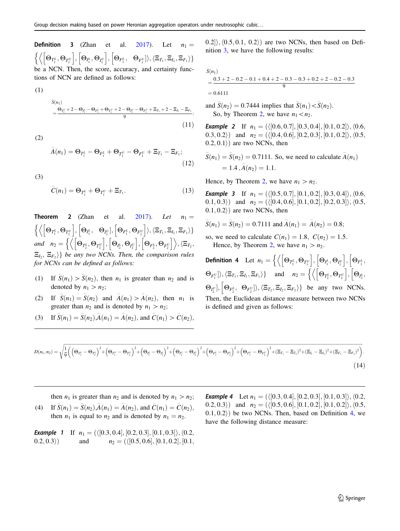<span id="page-4-0"></span>**Definition 3** (Zhan et al. [2017](#page-26-0)). Let  $n_1 =$  $\left[\Theta_{T^L_{\text{I}}},\Theta_{T^U_{\text{I}}}\right],\left[\Theta_{I^L_{\text{I}}},\Theta_{I^U_{\text{I}}}\right],\left[\Theta_{F^L_{\text{I}}},\right]$  $\frac{1}{2}$  $\{\Theta_{F_1^U}\}\rangle, \langle \Xi_{T_1}, \Xi_{I_1}, \Xi_{F_1}\rangle\}$ be a NCN. Then, the score, accuracy, and certainty functions of NCN are defined as follows:

$$
\begin{aligned} \widehat{S}(n_1) &= \frac{\Theta_{T_1^L} + 2 - \Theta_{I_1^L} - \Theta_{F_1^L} + \Theta_{T_1^U} + 2 - \Theta_{I_1^U} - \Theta_{F_1^U} + \Xi_{T_1} + 2 - \Xi_{I_1} - \Xi_{F_1}}{9} ; \end{aligned} \tag{11}
$$

(2)

(1)

$$
\widehat{A}(n_1) = \Theta_{T_1^L} - \Theta_{F_1^L} + \Theta_{T_1^U} - \Theta_{F_1^U} + \Xi_{T_1} - \Xi_{F_1};
$$
\n(12)

(3)

$$
\widehat{C}(n_1) = \Theta_{T_1^L} + \Theta_{T_1^U} + \Xi_{T_1}.
$$
\n(13)

**Theorem 2** (Zhan et al.  $2017$ ). Let  $\Big[\Theta_{T^L_1},\Theta_{T^U_1}\Big], \Big[\Theta_{I^L_1},$  $\overline{C}$  $\left\{ \Theta_{I_1^U}\right\} , \left\{ \Theta_{F_1^L}, \Theta_{F_1^U}\right\} \rangle , \langle \Xi_{T_1}, \Xi_{I_1}, \Xi_{F_1}\rangle \}$ and  $n_2 = \left\{ \left\langle \left[\Theta_{T_2^L}, \Theta_{T_2^U}\right], \left[\Theta_{I_2^L}, \Theta_{I_2^U}\right], \left[\Theta_{F_2^L}, \Theta_{F_2^U}\right] \right\rangle, \left\langle \Xi_{T_2}, \right.\right\}$  $\{\Xi_I, \Xi_F\}$  be any two NCNs. Then, the comparison rules for NCNs can be defined as follows:

- (1) If  $\hat{S}(n_1) > \hat{S}(n_2)$ , then  $n_1$  is greater than  $n_2$  and is denoted by  $n_1 > n_2$ ;
- (2) If  $\hat{S}(n_1) = \hat{S}(n_2)$  and  $\hat{A}(n_1) > \hat{A}(n_2)$ , then  $n_1$  is greater than  $n_2$  and is denoted by  $n_1 > n_2$ ;
- (3) If  $\hat{S}(n_1) = \hat{S}(n_2) \hat{A}(n_1) = \hat{A}(n_2)$ , and  $\hat{C}(n_1) > \hat{C}(n_2)$ ,

 $(0.2)$ ;  $(0.5, 0.1, 0.2)$  are two NCNs, then based on Definition 3, we have the following results:

$$
\begin{aligned} \widehat{S}(n_1) \\ &= \frac{0.3 + 2 - 0.2 - 0.1 + 0.4 + 2 - 0.3 - 0.3 + 0.2 + 2 - 0.2 - 0.3}{9} \\ &= 0.6111 \end{aligned}
$$

and  $\hat{S}(n_2) = 0.7444$  implies that  $\hat{S}(n_1) < \hat{S}(n_2)$ . So, by Theorem 2, we have  $n_1 < n_2$ .

**Example 2** If  $n_1 = (\langle [0.6, 0.7], [0.3, 0.4], [0.1, 0.2] \rangle, \langle 0.6,$ 0.3, 0.2) and  $n_2 = (\langle [0.4, 0.6], [0.2, 0.3], [0.1, 0.2] \rangle, \langle 0.5,$  $(0.2, 0.1)$  are two NCNs, then

$$
\widehat{S}(n_1) = \widehat{S}(n_2) = 0.7111
$$
. So, we need to calculate  $\widehat{A}(n_1)$   
= 1.4,  $\widehat{A}(n_2) = 1.1$ .

Hence, by Theorem 2, we have  $n_1 > n_2$ .

**Example 3** If  $n_1 = (\langle [0.5, 0.7], [0.1, 0.2], [0.3, 0.4] \rangle, \langle 0.6,$ 0.1, 0.3) and  $n_2 = (\langle [0.4, 0.6], [0.1, 0.2], [0.2, 0.3] \rangle, \langle 0.5,$  $(0.1, 0.2)$  are two NCNs, then

$$
\widehat{S}(n_1) = \widehat{S}(n_2) = 0.7111
$$
 and  $\widehat{A}(n_1) = \widehat{A}(n_2) = 0.8$ ;

so, we need to calculate  $C(n_1) = 1.8$ ,  $C(n_2) = 1.5$ . Hence, by Theorem 2, we have  $n_1 > n_2$ .

**Definition 4** Let  $n_1 = \left\{ \left\langle \left[\Theta_{T_1^L}, \Theta_{T_1^U}\right], \left[\Theta_{I_1^L}, \Theta_{I_1^U}\right], \left[\Theta_{F_1^L}, \Theta_{F_1^U}\right], \left[\Theta_{F_1^L}, \Theta_{F_1^U}\right], \left[\Theta_{F_1^L}, \Theta_{F_1^U}\right], \left[\Theta_{F_1^L}, \Theta_{F_1^U}\right], \left[\Theta_{F_1^L}, \Theta_{F_1^U}\right], \left[\Theta_{F_1^L}, \Theta_{F_1^U}\right], \left[\Theta_{F_1^L}, \Theta$  $\frac{1}{2}$  $\langle \Theta_{F_1^U} \rangle \rangle, \langle \Xi_{T_1}, \Xi_{T_1}, \Xi_{F_1} \rangle \}$  and  $n_2 = \left\{ \left\langle \left[ \Theta_{T_2^L}, \Theta_{T_2^U} \right], \left[ \Theta_{T_2^L}, \Theta_{T_2^U} \right], \left[ \Theta_{T_2^L}, \Theta_{T_2^U} \right], \left[ \Theta_{T_2^L}, \Theta_{T_2^L} \right], \left[ \Theta_{T_2^L}, \Theta_{T_2^L} \right], \left[ \Theta_{T_2^L}, \Theta_{T_2^L} \right], \left[ \Theta_{T_2^L}, \Theta$  $\frac{1}{1}$  $\Theta_{I_2^U}], \, \Theta_{F_2^L},$ h  $\{\Theta_{F_2^U}\}\rangle, \langle \Xi_{T_2}, \Xi_{I_2}, \Xi_{F_2}\rangle\}$  be any two NCNs. Then, the Euclidean distance measure between two NCNs is defined and given as follows:

$$
D(n_1, n_2) = \sqrt{\frac{1}{9} \left( \left( \Theta_{T_1^L} - \Theta_{T_2^L} \right)^2 + \left( \Theta_{T_1^U} - \Theta_{T_2^U} \right)^2 + \left( \Theta_{T_1^L} - \Theta_{T_2^L} \right)^2 + \left( \Theta_{T_1^U} - \Theta_{T_2^U} \right)^2 + \left( \Theta_{F_1^L} - \Theta_{F_2^L} \right)^2 + \left( \Theta_{F_1^U} - \Theta_{F_2^U} \right)^2 + (\Xi_{T_1} - \Xi_{T_2})^2 + (\Xi_{T_1} - \Xi_{T_2})^2 + (\Xi_{F_1} - \Xi_{F_2})^2 \right)}.
$$
\n(14)

then  $n_1$  is greater than  $n_2$  and is denoted by  $n_1 > n_2$ ;

(4) If  $\hat{S}(n_1) = \hat{S}(n_2)$ ,  $\hat{A}(n_1) = \hat{A}(n_2)$ , and  $\hat{C}(n_1) = \hat{C}(n_2)$ , then  $n_1$  is equal to  $n_2$  and is denoted by  $n_1 = n_2$ .

**Example 1** If  $n_1 = (\langle [0.3, 0.4], [0.2, 0.3], [0.1, 0.3] \rangle, \langle 0.2,$ 0.2, 0.3) and  $n_2 = (\langle [0.5, 0.6], [0.1, 0.2], [0.1,$  **Example 4** Let  $n_1 = (\langle [0.3, 0.4], [0.2, 0.3], [0.1, 0.3] \rangle, \langle 0.2,$ 0.2, 0.3) and  $n_2 = (\langle [0.5, 0.6], [0.1, 0.2], [0.1, 0.2] \rangle, \langle 0.5,$  $(0.1, 0.2)$  be two NCNs. Then, based on Definition 4, we have the following distance measure: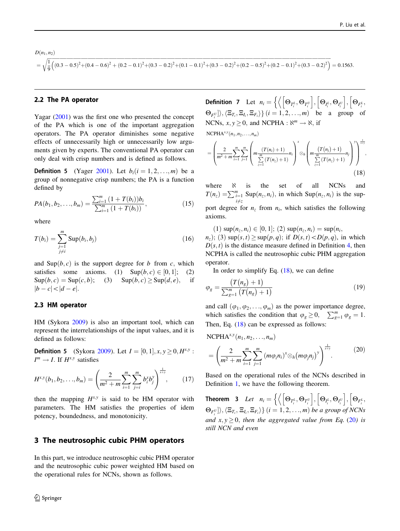<span id="page-5-0"></span>
$$
D(n_1, n_2)
$$
  
=  $\sqrt{\frac{1}{9} \left( (0.3 - 0.5)^2 + (0.4 - 0.6)^2 + (0.2 - 0.1)^2 + (0.3 - 0.2)^2 + (0.1 - 0.1)^2 + (0.3 - 0.2)^2 + (0.2 - 0.5)^2 + (0.2 - 0.1)^2 + (0.3 - 0.2)^2 \right)}$  = 0.1563.

### 2.2 The PA operator

Yagar [\(2001](#page-26-0)) was the first one who presented the concept of the PA which is one of the important aggregation operators. The PA operator diminishes some negative effects of unnecessarily high or unnecessarily low arguments given by experts. The conventional PA operator can only deal with crisp numbers and is defined as follows.

**Definition 5** (Yager [2001](#page-26-0)). Let  $b_i$  ( $i = 1, 2, ..., m$ ) be a group of nonnegative crisp numbers; the PA is a function defined by

$$
PA(b_1, b_2, \ldots, b_m) = \frac{\sum_{i=1}^{m} (1 + T(b_i))b_i}{\sum_{i=1}^{m} (1 + T(b_i))},
$$
\n(15)

where

$$
T(b_i) = \sum_{\substack{j=1 \ j \neq i}}^{m} \text{Sup}(b_i, b_j)
$$
 (16)

and  $\text{Sup}(b, c)$  is the support degree for b from c, which satisfies some axioms. (1)  $\text{Sup}(b, c) \in [0, 1]$ ; (2)  $\text{Sup}(b, c) = \text{Sup}(c, b);$  (3)  $\text{Sup}(b, c) \geq \text{Sup}(d, e),$  if  $|b - c| < |d - e|$ .

#### 2.3 HM operator

HM (Sykora [2009](#page-26-0)) is also an important tool, which can represent the interrelationships of the input values, and it is defined as follows:

**Definition 5** (Sykora [2009](#page-26-0)). Let  $I = [0, 1], x, y \ge 0, H^{x,y}$ :  $I^m \to I$ . If  $H^{x,y}$  satisfies

$$
H^{x,y}(b_1, b_2, \ldots, b_m) = \left(\frac{2}{m^2 + m} \sum_{i=1}^m \sum_{j=i}^m b_i^x b_j^y\right)^{\frac{1}{x+y}}, \qquad (17)
$$

then the mapping  $H^{x,y}$  is said to be HM operator with parameters. The HM satisfies the properties of idem potency, boundedness, and monotonicity.

### 3 The neutrosophic cubic PHM operators

In this part, we introduce neutrosophic cubic PHM operator and the neutrosophic cubic power weighted HM based on the operational rules for NCNs, shown as follows.

 $\circled{2}$  Springer

**Definition 7** Let  $n_i = \left\{ \left\langle \left[\Theta_{T_i^L}, \Theta_{T_i^U}\right], \left[\Theta_{I_i^L}, \Theta_{I_i^U}\right], \left[\Theta_{F_i^L}, \Theta_{I_i^U}\right], \left[\Theta_{T_i^L}, \Theta_{I_i^U}\right], \left[\Theta_{T_i^L}, \Theta_{I_i^U}\right], \left[\Theta_{T_i^L}, \Theta_{T_i^U}\right], \left[\Theta_{T_i^L}, \Theta_{T_i^U}\right], \left[\Theta_{T_i^L}, \Theta_{T_i^U}\right], \left[\Theta_{T_i^L}, \Theta_{T_i^U}\right], \left[\Theta_{T_i^L},$  $\frac{1}{2}$  $\{\Theta_{F_i^U}\}\rangle, \langle \Xi_{T_i}, \Xi_{I_i}, \Xi_{F_i}\rangle\}$   $(i = 1, 2, ..., m)$  be a group of NCNs,  $x, y \ge 0$ , and NCPHA :  $\aleph^m \to \aleph$ , if

 $NCPHA^{x,y}(n_1, n_2, \ldots, n_m)$ 

$$
= \left(\frac{2}{m^2+m}\sum_{i=1}^m\sum_{j=1}^m\left(m\frac{(T(n_i)+1)}{\sum_{z=1}^m(T(n_z)+1)}n_i\right)^x\otimes_h\left(m\frac{(T(n_j)+1)}{\sum_{z=1}^m(T(n_z)+1)}n_j\right)^y\right)^{\frac{1}{x+y}}\!\!\!,\tag{18}
$$

where  $\aleph$  is the set of all NCNs and  $T(n_z) = \sum_{i=1}^{m} \text{Sup}(n_z, n_i)$ , in which  $\text{Sup}(n_z, n_i)$  is the supi≠z

port degree for  $n_z$  from  $n_i$ , which satisfies the following axioms.

(1)  $\sup(n_z, n_i) \in [0, 1]$ ; (2)  $\sup(n_z, n_i) = \sup(n_i, n_i)$  $n_z$ ); (3) sup $(s, t) \geq$ sup $(p, q)$ ; if  $D(s, t) < D(p, q)$ , in which  $D(s, t)$  is the distance measure defined in Definition [4,](#page-4-0) then NCPHA is called the neutrosophic cubic PHM aggregation operator.

In order to simplify Eq.  $(18)$ , we can define

$$
\varphi_{g} = \frac{(T(n_g) + 1)}{\sum_{g=1}^{m} (T(n_g) + 1)}
$$
\n(19)

and call  $(\varphi_1, \varphi_2, \ldots, \varphi_m)$  as the power importance degree, which satisfies the condition that  $\varphi_g \ge 0$ ,  $\sum_{g=1}^m \varphi_g = 1$ . Then, Eq.  $(18)$  can be expressed as follows:

NCPHA<sup>x,y</sup>(n<sub>1</sub>, n<sub>2</sub>,..., n<sub>m</sub>)  
= 
$$
\left(\frac{2}{m^2 + m} \sum_{i=1}^{m} \sum_{j=1}^{m} (m\varphi_i n_i)^x \otimes_h (m\varphi_j n_j)^y\right)^{\frac{1}{x+y}}
$$
. (20)

Based on the operational rules of the NCNs described in Definition [1](#page-3-0), we have the following theorem.

**Theorem 3** Let  $n_i = \left\{ \left\langle \left[\Theta_{T_i^L}, \Theta_{T_i^U} \right], \left[\Theta_{I_i^L}, \Theta_{I_i^U} \right], \left[\Theta_{F_i^L}, \Theta_{I_i^U} \right], \left[\Theta_{F_i^L}, \Theta_{I_i^U} \right], \left[\Theta_{F_i^L}, \Theta_{I_i^U} \right], \left[\Theta_{F_i^L}, \Theta_{I_i^U} \right], \left[\Theta_{F_i^L}, \Theta_{I_i^U} \right], \left[\Theta_{F_i^L}, \Theta_{I_i^U} \right], \left[\Theta_{F_i^L}, \Theta_{I_i^U} \right], \left[\Theta$  $\frac{1}{2}$  $\{\Theta_{F_i^U}\}\rangle, \langle \Xi_{T_i}, \Xi_{I_i}, \Xi_{F_i}\rangle\}$   $(i = 1, 2, ..., m)$  be a group of NCNs and  $x, y \ge 0$ , then the aggregated value from Eq. (20) is still NCN and even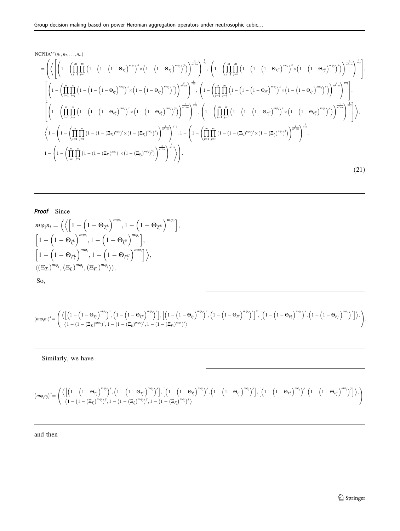NCPHA<sup>X,Y</sup>(n<sub>1</sub>, n<sub>2</sub>,...,n<sub>m</sub>)  
\n=
$$
\left(\left\langle \left[\left(1-\left(\prod_{i=1}^{m} \prod_{j=i}^{m} \left(1-\left(1-\left(1-\Theta_{T_i^L}\right)^{m\phi_i}\right)^x \times \left(1-\left(1-\Theta_{T_i^L}\right)^{m\phi_j}\right)^x\right)\right]^{\frac{2}{m^2+n}}\right]^{\frac{1}{n^2}}\right]^{\frac{1}{n^2}}\right]^{\frac{1}{n^2}}\right)^{\frac{1}{n^2}}\right)^{\frac{1}{n^2}}\right)^{\frac{1}{n^2}}\left(\left(1-\left(\prod_{i=1}^{m} \prod_{j=i}^{m} \left(1-\left(1-\left(1-\Theta_{T_i^U}\right)^{m\phi_j}\right)^x\right)\right)^{\frac{2}{m^2+n}}\right)^{\frac{1}{n^2}}\right)^{\frac{1}{n^2}}\right)^{\frac{1}{n^2}}\right)^{\frac{1}{n^2}}\right)^{\frac{1}{n^2}}\right)^{\frac{1}{n^2}}\left(\left(1-\left(\prod_{i=1}^{m} \prod_{j=i}^{m} \left(1-\left(1-\left(1-\Theta_{T_i^U}\right)^{m\phi_j}\right)^x\right)\right)^{\frac{2}{m^2+n}}\right)^{\frac{1}{n^2}}\right)^{\frac{1}{n^2}}\right)^{\frac{1}{n^2}}\right)^{\frac{1}{n^2}}\left(\left(1-\left(\prod_{i=1}^{m} \prod_{j=i}^{m} \left(1-\left(1-\left(1-\Theta_{T_i^U}\right)^{m\phi_j}\right)^x\right)\right)^{\frac{2}{m^2+n}}\right)^{\frac{1}{n^2}}\right)^{\frac{1}{n^2}}\right)^{\frac{1}{n^2}}\right)^{\frac{1}{n^2}}\left(\left(1-\left(\prod_{i=1}^{m} \prod_{j=i}^{m} \left(1-\left(1-\left(1-\Theta_{T_i^U}\right)^{m\phi_j}\right)^x\right)\right)^{\frac{2}{m^2+n}}\right)^{\frac{1}{n^2}}\right)^{\frac{1}{n^2}}\right)^{\frac{1}{n^2}}\right)^{\frac{1}{n^2}}\left(\left(1-\left(\prod_{i=1}^{m} \prod_{j=i}^{m} \left(1-\left(1-\left
$$

# Proof Since

$$
m\varphi_i n_i = \left( \left\langle \left[ 1 - \left( 1 - \Theta_{T_i^L} \right)^{m\varphi_i}, 1 - \left( 1 - \Theta_{T_i^U} \right)^{m\varphi_i} \right], \right. \\ \left. \left[ 1 - \left( 1 - \Theta_{I_i^L} \right)^{m\varphi_i}, 1 - \left( 1 - \Theta_{I_i^U} \right)^{m\varphi_i} \right], \right. \\ \left. \left[ 1 - \left( 1 - \Theta_{F_i^L} \right)^{m\varphi_i}, 1 - \left( 1 - \Theta_{F_i^U} \right)^{m\varphi_i} \right] \right\rangle, \\ \left\langle (\Xi_{T_i})^{m\varphi_i}, (\Xi_{I_i})^{m\varphi_i}, (\Xi_{F_i})^{m\varphi_i} \right\rangle, \\ \text{So,}
$$

$$
\left(\text{sup}_{i}n_{i}\right)^{x}=\left(\frac{\left\langle \left[\left(1-\left(1-\Theta_{T_{i}^{L}}\right)^{\text{m}\varphi_{i}}\right)^{x},\left(1-\left(1-\Theta_{T_{i}^{U}}\right)^{\text{m}\varphi_{i}}\right)^{x}\right],\left[\left(1-\left(1-\Theta_{I_{i}^{L}}\right)^{\text{m}\varphi_{i}}\right)^{x},\left(1-\left(1-\Theta_{I_{i}^{U}}\right)^{\text{m}\varphi_{i}}\right)^{x}\right],\left[\left(1-\left(1-\Theta_{I_{i}^{U}}\right)^{\text{m}\varphi_{i}}\right)^{x}\right]^{x},\left[\left(1-\left(1-\Theta_{I_{i}^{L}}\right)^{\text{m}\varphi_{i}}\right)^{x},\left(1-\left(1-\Theta_{I_{i}^{U}}\right)^{\text{m}\varphi_{i}}\right)^{x}\right]\right),
$$

Similarly, we have

$$
(m\varphi_jn_j)^y=\left(\frac{\left\langle\left[\left(1-\left(1-\Theta_{T_j^l}\right)^{m\varphi_j}\right)^y,\left(1-\left(1-\Theta_{T_j^l}\right)^{m\varphi_j}\right)^y\right],\left[\left(1-\left(1-\Theta_{T_j^l}\right)^{m\varphi_j}\right)^y,\left(1-\left(1-\Theta_{T_j^l}\right)^{m\varphi_j}\right)^y\right],\left[\left(1-\left(1-\Theta_{T_j^l}\right)^{m\varphi_j}\right)^y\right],\left[\left(1-\left(1-\Theta_{T_j^l}\right)^{m\varphi_j}\right)^y,\left(1-\left(1-\Theta_{T_j^l}\right)^{m\varphi_j}\right)^y\right]\right\rangle\right)
$$

### and then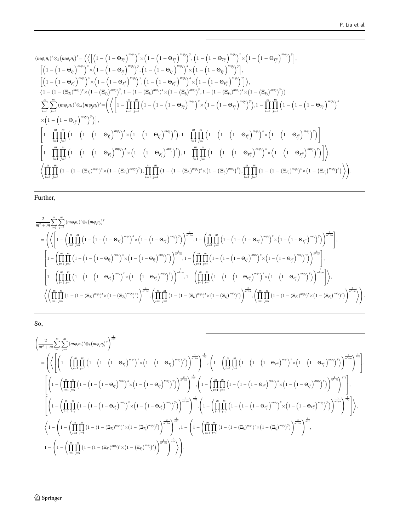$$
(m\varphi_{i}n_{i})^{x}\otimes_{h}(m\varphi_{j}n_{j})^{y} = \left( \left\langle \left[ \left( 1-\left( 1-\Theta_{T_{i}^{L}} \right)^{m\varphi_{i}} \right)^{x} \times \left( 1-\left( 1-\Theta_{T_{i}^{L}} \right)^{m\varphi_{i}} \right)^{y}, \left( 1-\left( 1-\Theta_{T_{i}^{L}} \right)^{m\varphi_{i}} \right)^{x} \times \left( 1-\left( 1-\Theta_{T_{i}^{L}} \right)^{m\varphi_{i}} \right)^{y}, \left( 1-\left( 1-\Theta_{T_{i}^{L}} \right)^{m\varphi_{i}} \right)^{y}, \left( 1-\left( 1-\Theta_{T_{i}^{L}} \right)^{m\varphi_{i}} \right)^{y}, \left( 1-\left( 1-\Theta_{T_{i}^{L}} \right)^{m\varphi_{i}} \right)^{y}, \left( 1-\left( 1-\Theta_{T_{i}^{L}} \right)^{m\varphi_{i}} \right)^{y}, \left( 1-\left( 1-\Theta_{T_{i}^{L}} \right)^{m\varphi_{i}} \right)^{y}, \left( 1-\left( 1-\Theta_{T_{i}^{L}} \right)^{m\varphi_{i}} \right)^{y}, \left( 1-\left( 1-\Theta_{T_{i}^{L}} \right)^{m\varphi_{i}} \right)^{y}, \left( 1-\left( 1-\Theta_{T_{i}^{L}} \right)^{m\varphi_{i}} \right)^{y}, \left( 1-\left( 1-\Theta_{T_{i}^{L}} \right)^{m\varphi_{i}} \right)^{y} \right), \left( 1-\left( 1-\Theta_{T_{i}^{L}} \right)^{m\varphi_{i}} \right)^{y}, \left( 1-\left( 1-\Theta_{T_{i}^{L}} \right)^{m\varphi_{i}} \right)^{y}, \left( 1-\left( 1-\Theta_{T_{i}^{L}} \right)^{m\varphi_{i}} \right)^{y}, \left( 1-\left( 1-\Theta_{T_{i}^{L}} \right)^{m\varphi_{i}} \right)^{y}, \left( 1-\left( 1-\Theta_{T_{i}^{L}} \right)^{m\varphi_{i}} \right)^{y} \right) \right), \left( 1-\left( 1-\left( 1-\Theta_{T_{i}^{L}} \right)^{m\varphi_{i}}
$$

# Further,

$$
\begin{split} &\frac{2}{m^2+m}\sum_{i=1}^m\sum_{j=i}^m \left(m\varphi_i n_i\right)^x\otimes_h(m\varphi_j n_j)^y\\&=\left(\left\langle\left[1-\left(\prod_{i=1}^m\prod_{j=i}^m\left(1-\left(1-\left(1-\Theta_{T_i^L}\right)^{m\varphi_i}\right)^x\times\left(1-\left(1-\Theta_{T_i^L}\right)^{m\varphi_j}\right)^y\right)\right)^{\frac{2}{m^2+m}},1-\left(\prod_{i=1}^m\prod_{j=i}^m\left(1-\left(1-\left(1-\Theta_{T_i^U}\right)^{m\varphi_j}\right)^x\times\left(1-\left(1-\Theta_{T_i^U}\right)^{m\varphi_j}\right)^y\right)\right)^{\frac{2}{m^2+m}},1-\left(\prod_{i=1}^m\prod_{j=i}^m\left(1-\left(1-\left(1-\Theta_{T_i^U}\right)^{m\varphi_j}\right)^y\times\left(1-\left(1-\Theta_{T_i^U}\right)^{m\varphi_j}\right)^y\right)\right)^{\frac{2}{m^2+m}},1-\left(\prod_{i=1}^m\prod_{j=i}^m\left(1-\left(1-\left(1-\Theta_{T_i^U}\right)^{m\varphi_j}\right)^x\times\left(1-\left(1-\Theta_{T_i^U}\right)^{m\varphi_j}\right)^y\right)\right)^{\frac{2}{m^2+m}},1-\left(\prod_{i=1}^m\prod_{j=i}^m\left(1-\left(1-\left(1-\Theta_{T_i^U}\right)^{m\varphi_j}\right)^x\times\left(1-\left(1-\Theta_{T_i^U}\right)^{m\varphi_j}\right)^y\right)\right)^{\frac{2}{m^2+m}},1-\left(\prod_{i=1}^m\prod_{j=i}^m\left(1-\left(1-\left(1-\left(1-\Theta_{F_i^U}\right)^{m\varphi_j}\right)^y\right)\right)^{\frac{2}{m^2+m}}\right),1-\left(\prod_{i=1}^m\prod_{j=i}^m\left(1-\left(1-\left(1-\Theta_{F_i^U}\right)^{m\varphi_j}\right)^x\times\left(1-\left(1-\Theta_{F_i^U}\right)^{m\varphi_j}\right)^y\right)\right)^{\frac{2}{m^2+m}},1-\left(\prod_{i=1}^m\prod_{j=i}^m\left(1-\left(1-\left(1-\Theta_{
$$

So,

$$
\begin{split} &\left(\frac{2}{m^2+m}\sum_{i=1}^m\sum_{j=i}^m\left(m\varphi_i n_i\right)^x\otimes_h\left(m\varphi_j n_j\right)^y\right)^{\frac{1}{n+y}}\\ &=\left(\left\langle\left[\left(1-\left(\prod_{i=1}^m\prod_{j=i}^m\left(1-\left(1-\left(1-\Theta_{T_i^j}\right)^{m\varphi_j}\right)^x\times\left(1-\left(1-\Theta_{T_i^j}\right)^{m\varphi_j}\right)^x\right)\right]^{\frac{1}{n^2+m}}\right)^{\frac{1}{n+y}}\right,\left(1-\left(\prod_{i=1}^m\prod_{j=i}^m\left(1-\left(1-\left(1-\Theta_{T_i^j}\right)^{m\varphi_j}\right)^x\right)\right)^{\frac{1}{n^2+m}}\right)^{\frac{1}{n+y}}\right),\\ &\left[\left(1-\left(\prod_{i=1}^m\prod_{j=i}^m\left(1-\left(1-\left(1-\Theta_{T_i^j}\right)^{m\varphi_j}\right)^x\times\left(1-\left(1-\Theta_{T_i^j}\right)^{m\varphi_j}\right)^x\right)\right)^{\frac{1}{n^2+m}}\right)^{\frac{1}{n+y}}\right],\\ &\left[\left(1-\left(\prod_{i=1}^m\prod_{j=i}^m\left(1-\left(1-\left(1-\Theta_{T_i^j}\right)^{m\varphi_j}\right)^x\times\left(1-\left(1-\Theta_{T_i^j}\right)^{m\varphi_j}\right)^x\right)\right)^{\frac{1}{n^2+m}}\right)^{\frac{1}{n+y}}\right],\\ &\left[\left(1-\left(\prod_{i=1}^m\prod_{j=i}^m\left(1-\left(1-\left(1-\Theta_{T_i^j}\right)^{m\varphi_j}\right)^x\times\left(1-\left(1-\Theta_{T_i^j}\right)^{m\varphi_j}\right)^x\right)\right)^{\frac{1}{n^2+m}}\right)^{\frac{1}{n+y}}\right],\\ &\left(1-\left(\prod_{i=1}^m\prod_{j=i}^m\left(1-\left(1-\left(1-\Theta_{T_i^j}\right)^{m\varphi_j}\right)^x\times\left(1-\left(\Xi_{T_i}\right)^{m\varphi_j}\right)^x\right)\right)^{\frac{1}{n^2+m}}\right)^{\frac{1}{n+y}}\right)^{\frac{1}{n+y}}\right),\\
$$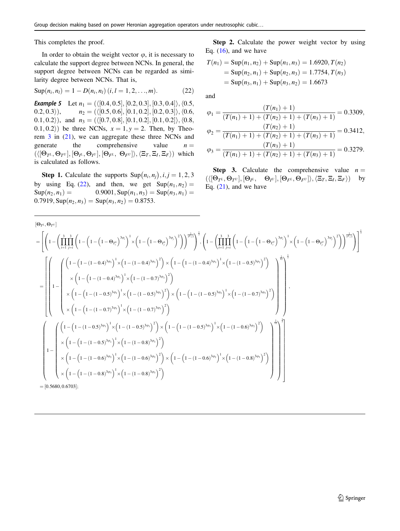This completes the proof.

In order to obtain the weight vector  $\varphi$ , it is necessary to calculate the support degree between NCNs. In general, the support degree between NCNs can be regarded as similarity degree between NCNs. That is,

$$
Sup(n_i, n_l) = 1 - D(n_i, n_l) (i, l = 1, 2, ..., m).
$$
 (22)

**Example 5** Let  $n_1 = (\langle [0.4, 0.5], [0.2, 0.3], [0.3, 0.4] \rangle, \langle 0.5,$ 0.2, 0.3 $),$   $n_2 = (\langle [0.5, 0.6], [0.1, 0.2], [0.2, 0.3] \rangle, \langle 0.6,$ 0.1, 0.2), and  $n_3 = (\langle [0.7, 0.8], [0.1, 0.2], [0.1, 0.2] \rangle, \langle 0.8,$  $(0.1, 0.2)$  be three NCNs,  $x = 1, y = 2$ . Then, by Theorem [3](#page-5-0) in (21), we can aggregate these three NCNs and generate the comprehensive value  $n =$  $(\langle [\Theta_{T^L}, \Theta_{T^U}], [\Theta_{I^L}, \Theta_{I^U}], [\Theta_{F^L}, \Theta_{F^U}] \rangle, \langle \Xi_T, \Xi_I, \Xi_F \rangle)$  which is calculated as follows.

**Step 1.** Calculate the supports  $\text{Sup}(n_i, n_j), i, j = 1, 2, 3$ by using Eq. (22), and then, we get  $\text{Sup}(n_1, n_2) =$  $\text{Sup}(n_2, n_1) = 0.9001, \text{Sup}(n_1, n_3) = \text{Sup}(n_3, n_1) = 0.9001, \text{Sup}(n_2, n_2) = 0.9001$  $0.7919, \text{Sup}(n_2, n_3) = \text{Sup}(n_3, n_2) = 0.8753.$ 

Step 2. Calculate the power weight vector by using Eq.  $(16)$ , and we have

$$
T(n_1) = \text{Sup}(n_1, n_2) + \text{Sup}(n_1, n_3) = 1.6920, T(n_2)
$$
  
= 
$$
\text{Sup}(n_2, n_1) + \text{Sup}(n_2, n_3) = 1.7754, T(n_3)
$$
  
= 
$$
\text{Sup}(n_3, n_1) + \text{Sup}(n_3, n_2) = 1.6673
$$

and

$$
\varphi_1 = \frac{(T(n_1) + 1)}{(T(n_1) + 1) + (T(n_2) + 1) + (T(n_3) + 1)} = 0.3309,
$$
  
\n
$$
\varphi_2 = \frac{(T(n_2) + 1)}{(T(n_1) + 1) + (T(n_2) + 1) + (T(n_3) + 1)} = 0.3412,
$$
  
\n
$$
\varphi_3 = \frac{(T(n_3) + 1)}{(T(n_1) + 1) + (T(n_2) + 1) + (T(n_3) + 1)} = 0.3279.
$$

**Step 3.** Calculate the comprehensive value  $n =$  $(\langle [\Theta_{T^L}, \Theta_{T^U}], [\Theta_{I^L}, \Theta_{I^U}], [\Theta_{F^L}, \Theta_{F^U}] \rangle, \langle \Xi_T, \Xi_I, \Xi_F \rangle)$  by Eq.  $(21)$ , and we have

$$
[\Theta_{T^L},\Theta_{T^U}] = \left[ \left( 1 - \left( \prod_{i=1}^3 \prod_{j=1}^3 \left( 1 - \left( 1 - \left( 1 - \Theta_{T_i^L} \right)^{3\phi_i} \right)^1 \times \left( 1 - \left( 1 - \Theta_{T_i^L} \right)^{3\phi_i} \right)^2 \right) \right)^{\frac{2}{2^2+3}} \right]^{\frac{1}{3}}, \left( 1 - \left( \prod_{i=1}^3 \prod_{j=1}^3 \left( 1 - \left( 1 - \left( 1 - \Theta_{T_i^U} \right)^{3\phi_i} \right)^2 \right) \times \left( 1 - \left( 1 - \left( 1 - \Theta_{T_i^U} \right)^{3\phi_i} \right)^2 \right) \right)^{\frac{2}{2^2+3}} \right) \right]^{\frac{1}{3}}
$$
\n
$$
= \left[ \left( \left( 1 - \left( 1 - (1 - 0.4)^{3\phi_1} \right)^1 \times \left( 1 - (1 - 0.4)^{3\phi_1} \right)^2 \right) \times \left( 1 - \left( 1 - (1 - (1 - 0.4)^{3\phi_1} \right)^1 \times \left( 1 - (1 - 0.5)^{3\phi_2} \right)^2 \right) \right] \times \left( 1 - \left( 1 - (1 - (1 - 0.5)^{3\phi_2} \right)^1 \times \left( 1 - (1 - 0.5)^{3\phi_2} \right)^2 \right) \right] \times \left( 1 - \left( 1 - (1 - 0.5)^{3\phi_2} \right)^1 \times \left( 1 - (1 - (1 - 0.5)^{3\phi_2} \right)^2 \right) \times \left( 1 - \left( 1 - (1 - 0.5)^{3\phi_2} \right)^2 \right) \times \left( 1 - \left( 1 - (1 - 0.5)^{3\phi_2} \right)^2 \right) \right] \times \left( 1 - \left( 1 - (1 - 0.5)^{3\phi_1} \right)^2 \right) \times \left( 1 - \left( 1 - (1 - 0.5)^{3\phi_1} \right)^3 \times \left( 1 - (1 - (1 - 0.5)^{3\phi_1} \right)^2 \right) \times \left( 1 - (1 - (1 -
$$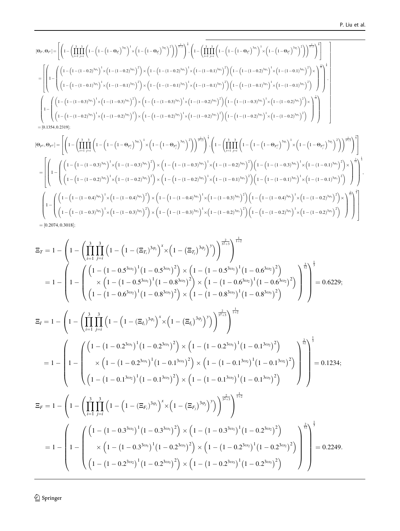$$
\begin{split} & [\Theta_{\mu},\Theta_{\mu^{U}}] = \left[ \left(1-\left(\prod_{i=1}^{3}\prod_{j=1}^{3}\left(1-\left(1-\left(1-\Theta_{f_{i}^{L}}\right)^{3\phi_{i}}\right)^{1}\times\left(1-\left(1-\Theta_{f_{i}^{L}}\right)^{3\phi_{i}}\right)^{2}\right)\right)^{\frac{2}{2^{2}+3}}\right)^{\frac{1}{3}} \right] \left(1-\left(\prod_{i=1}^{3}\prod_{j=1}^{3}\left(1-\left(1-\left(1-\Theta_{f_{i}^{U}}\right)^{3\phi_{i}}\right)^{2}\right)\right)^{\frac{2}{2^{2}+3}}\right)^{\frac{1}{3}}\right) \\ &=\left[\left(1-\left(\left(1-\left(1-(1-0.2)^{3\phi_{1}}\right)^{1}\times\left(1-(1-0.2)^{3\phi_{1}}\right)^{2}\right)\times\left(1-\left(1-(1-0.2)^{3\phi_{1}}\right)^{1}\times\left(1-(1-0.1)^{3\phi_{2}}\right)^{2}\right)\left(1-\left(1-(1-0.2)^{3\phi_{1}}\right)^{1}\times\left(1-(1-0.1)^{3\phi_{2}}\right)^{2}\right)\right)\right]^{-\frac{2}{\phi_{1}-3}}\right] \right] \left.\left.\left.\left(\left(1-\left(1-(1-0.1)^{3\phi_{2}}\right)^{1}\times\left(1-(1-0.1)^{3\phi_{2}}\right)^{2}\right)\times\left(1-\left(1-(1-0.1)^{3\phi_{2}}\right)^{1}\times\left(1-(1-0.1)^{3\phi_{2}}\right)^{2}\right)\right)\left(1-\left(1-(1-0.1)^{3\phi_{2}}\right)^{1}\times\left(1-(1-0.1)^{3\phi_{2}}\right)^{2}\right)\right)\right) \right] \right) \\ & =\left[\left(1-\left(\left(1-\left(1-(1-0.3)^{3\phi_{1}}\right)^{1}\times\left(1-(1-0.3)^{3\phi_{1}}\right)^{2}\right)\times\left(1-\left(1-(1-(1-0.3)^{3\phi_{1}}\right)^{3\phi_{1}}\right)^{1}\times\left(1-(1-0.2)^{3\phi_{2}}\right)^{2}\right)\left
$$

$$
\begin{split} &\left[\Theta_{F^L},\Theta_{F^U}\right] = \left[\left(1-\left(\prod_{i=1}^3\prod_{j=i}^3\left(1-\left(1-\left(1-\Theta_{F_i^L}\right)^{3\phi_i}\right)^1\times\left(1-\left(1-\Theta_{F_i^L}\right)^{3\phi_j}\right)^2\right)\right)^{\frac{2}{2^2+3}}\right)^{\frac{1}{3}}, \left(1-\left(\prod_{i=1}^3\prod_{j=i}^3\left(1-\left(1-\left(1-\Theta_{F_i^U}\right)^{3\phi_i}\right)^1\times\left(1-\left(1-\Theta_{F_i^U}\right)^{3\phi_j}\right)^2\right)\right)^{\frac{2}{2^2+3}}\right)^{\frac{1}{3}}\right] \\ &=\left[\left(1-\left(\left(1-\left(1-(1-0.3)^{3\phi_1}\right)^1\times\left(1-(1-0.3)^{3\phi_1}\right)^2\times\left(1-\left(1-(1-0.3)^{3\phi_1}\right)^1\times\left(1-(1-0.2)^{3\phi_2}\right)^2\right)\left(1-\left(1-(1-0.3)^{3\phi_1}\right)^1\times\left(1-(1-0.1)^{3\phi_3}\right)^2\right)\right)\right)^{\frac{2}{2^2+3}}\right)^{\frac{1}{3}}\right] \\ &\quad=\left[\left(1-\left(\left(1-\left(1-(1-0.2)^{3\phi_2}\right)^1\times\left(1-(1-0.2)^{3\phi_2}\right)^2\right)\times\left(1-\left(1-(1-(1-0.2)^{3\phi_2}\right)^1\times\left(1-(1-(1-0.1)^{3\phi_3}\right)^2\right)\right)\left(1-\left(1-(1-(1-0.1)^{3\phi_3}\right)^1\times\left(1-(1-0.1)^{3\phi_3}\right)^2\right)\right)\right)^{\frac{2}{3^2+3}}\right)^{\frac{1}{3}} \\ &\quad\left(1-\left(\left(1-\left(1-(1-0.4)^{3\phi_1}\right)^1\times\left(1-(1-0.4)^{3\phi_1}\right)^2\right)\times\left(1-\left(1-(1-(1-0.4)^{3\phi_1}\right)^1\times\left(1-(1-0.3)^{3\phi_2}\right)^2\right)\left(1-\left(1-(1-
$$

$$
\Xi_{T} = 1 - \left(1 - \left(\prod_{i=1}^{3} \prod_{j=i}^{3} \left(1 - \left(1 - (\Xi_{T_{i}})^{3\varphi_{i}}\right)^{x} \times \left(1 - (\Xi_{T_{i}})^{3\varphi_{j}}\right)^{y}\right)\right)^{\frac{2}{2+3}}\right)^{\frac{1}{1+2}}
$$
\n
$$
= 1 - \left(1 - \left(\prod_{i=1}^{3} \prod_{j=i}^{3} \left(1 - \left(1 - 0.5^{3\omega_{1}}\right)^{1} (1 - 0.8^{3\omega_{2}})^{2}\right) \times \left(1 - \left(1 - 0.5^{3\omega_{1}}\right)^{1} (1 - 0.6^{3\omega_{2}})^{2}\right)\right)^{\frac{1}{2}}\right)^{\frac{1}{2}} = 0.6229;
$$
\n
$$
\Xi_{I} = 1 - \left(1 - \left(\prod_{i=1}^{3} \prod_{j=i}^{3} \left(1 - \left(1 - (\Xi_{I_{i}})^{3\varphi_{j}}\right)^{x} \times \left(1 - (\Xi_{I_{j}})^{3\varphi_{j}}\right)^{y}\right)\right)^{\frac{2}{2+3}}\right)^{\frac{1}{1+2}}
$$
\n
$$
\Xi_{I} = 1 - \left(1 - \left(\prod_{i=1}^{3} \prod_{j=i}^{3} \left(1 - \left(1 - (\Xi_{I_{i}})^{3\varphi_{j}}\right)^{x} \times \left(1 - (\Xi_{I_{j}})^{3\varphi_{j}}\right)^{y}\right)\right)^{\frac{2}{2+3}}\right)^{\frac{1}{1+2}}
$$
\n
$$
= 1 - \left(1 - \left(\prod_{i=1}^{3} \prod_{j=i}^{3} \left(1 - \left(1 - (\Xi_{I_{i}})^{3\varphi_{j}}\right)^{x} \times \left(1 - (\Xi_{I_{j}})^{3\varphi_{j}}\right)^{y}\right)\right)^{\frac{2}{2+3}}\right)^{\frac{1}{1+2}}
$$
\n
$$
= 1 - \left(1 - \left(\prod_{i=1}^{3} \prod_{j=i}^{3} \left(1 - \left(1 - 0.2^{3\omega_{1}}\right)^{1} (1 - 0.1^{3\omega_{3}})^{2}\right) \times \left(1 -
$$

 $\underline{\textcircled{\tiny 2}}$  Springer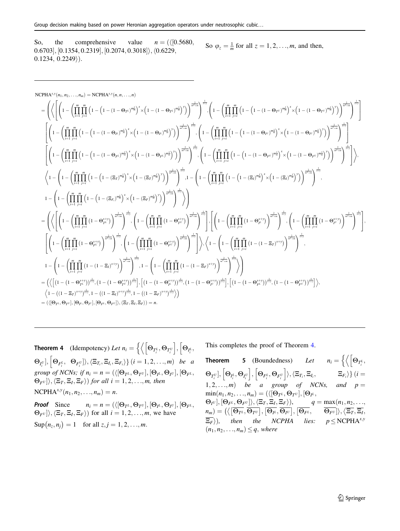So, the comprehensive value  $n = \frac{\binom{n}{0.5680}}{0.5680}$  $(0.6703]$ ,  $[0.1354, 0.2319]$ ,  $[0.2074, 0.3018]$ ,  $\langle 0.6229,$  $0.1234, 0.2249$ ).

So 
$$
\varphi_z = \frac{1}{m}
$$
 for all  $z = 1, 2, ..., m$ , and then,

$$
\begin{split} &\text{NCPHA}^{4, y}(n_1, n_2, \ldots, n_m) = \text{NCPHA}^{4, y}(n_1, n_1, \ldots, n) \\ &= \left(\left\langle \left[\left(1 - \left(\prod_{i=1}^m \prod_{j=1}^m \left(1 - \left(1 - (1 - \Theta_{fi})^{n_2}\right)^x \right) \left(1 - (1 - \Theta_{fi})^{n_2}\right)^x\right)\right]^{-\frac{1}{2 + m}}\right]^{-\frac{1}{2 + m}}\right)^{\frac{1}{2 + m}}\right)^{\frac{1}{2 + m}} \right)^{\frac{1}{2 + m}} \left(1 - \left(\prod_{i=1}^m \prod_{j=1}^m \left(1 - \left(1 - (1 - \Theta_{fi})^{n_2}\right)^x\right)\right)^{\frac{1}{2 + m}}\right)^{\frac{1}{2 + m}}\right)^{\frac{1}{2 + m}} \right) \\ &\qquad \left[\left(1 - \left(\prod_{i=1}^m \prod_{j=1}^m \left(1 - \left(1 - (1 - \Theta_{fi})^{n_2}\right)^x \right) \times \left(1 - (1 - \Theta_{fi})^{n_2}\right)^x\right)\right)^{\frac{1}{2 + m}}\right)^{\frac{1}{2 + m}}\right]^{-\frac{1}{2 + m}} \left(\left[1 - \left(\prod_{i=1}^m \prod_{j=1}^m \left(1 - \left(1 - (1 - \Theta_{fi})^{n_2}\right)^x\right) \right)^{\frac{1}{2 + m}}\right)^{\frac{1}{2 + m}}\right)^\frac{1}{2 + m} \right) \\ &\qquad \left(\left[1 - \left(\prod_{i=1}^m \prod_{j=1}^m \left(1 - \left(1 - (1 - \Theta_{fi})^{n_2}\right)^x \right) \times \left(1 - (1 - \Theta_{fi})^{n_2}\right)^x\right) \left(1 - (1 - \Theta_{fi})^{n_2}\right)^x\right)\right]^{-\frac{1}{2 + m}}\right)^\frac{1}{2 + m} \right) \\ &\qquad \left(1 - \left(\prod_{i=1}^m \prod_{j=1}^m \left(1 - \left(1 - (\Xi_f)^{m_2}\right)^x \times \left(1 - (\Xi_f)^{m_2}\right)^x\right) \right)^{\frac{1}{2 + m}}\right)^\frac{1}{2 + m} \right)^\frac
$$

**Theorem 4** (Idempotency) Let  $n_i = \left\{ \left\langle \left[\Theta_{T_i^L}, \Theta_{T_i^U} \right], \left[\Theta_{I_i^L}, \Theta_{T_i^U} \right], \left[\Theta_{T_i^L}, \Theta_{T_i^U} \right], \left[\Theta_{T_i^L}, \Theta_{T_i^U} \right], \left[\Theta_{T_i^L}, \Theta_{T_i^U} \right], \left[\Theta_{T_i^L}, \Theta_{T_i^U} \right], \left[\Theta_{T_i^L}, \Theta_{T_i^U} \right], \left[\Theta_{T_i^L}, \Theta_{T_i^U} \right], \left[\Theta_{T_i^L}, \$  $\frac{1}{2}$  $\Theta_{I_i^U}],\, \left[\Theta_{F_i^L},\right.$ h  $\{\Theta_{F_i^U}\}\rangle, \langle \Xi_{T_i}, \Xi_{I_i}, \Xi_{F_i}\rangle\}$   $(i=1,2,\ldots,m)$  be a group of NCNs; if  $n_i = n = (\langle [\Theta_{T^L}, \Theta_{T^U}], [\Theta_{T^L}, \Theta_{T^U}], [\Theta_{F^L},$  $\{\Theta_{F^U}\}\rangle, \langle \Xi_T, \Xi_I, \Xi_F\rangle)$  for all  $i = 1, 2, ..., m$ , then  $NCPHA^{x,y}(n_1, n_2, ..., n_m) = n.$ 

**Proof** Since  $n_i = n = (\langle [\Theta_{T^L}, \Theta_{T^U}], [\Theta_{I^L}, \Theta_{I^U}], [\Theta_{F^L}, \Theta_{I^U}] \rangle)$  $\{\Theta_{F^U}\}\rangle, \langle \Xi_T, \Xi_I, \Xi_F \rangle)$  for all  $i = 1, 2, \ldots, m$ , we have  $\text{Sup}(n_z, n_j) = 1 \text{ for all } z, j = 1, 2, ..., m.$ 

This completes the proof of Theorem 4.

**Theorem 5** (Boundedness) Let  $n_i = \{ \langle | \Theta_{T_i^L}, \Theta_{T_i^L} \rangle \}$  $\sqrt{2}$  $\left[\Theta_{T^U_i}\right], \left[\Theta_{I^L_i}, \Theta_{I^U_i}\right], \left[\Theta_{F^L_i}, \Theta_{F^U_i}\right] \rangle, \langle \Xi_{T_i} \rangle$  $\langle \Xi_{T_i}, \Xi_{I_i}, \qquad \qquad \Xi_{F_i} \rangle \}$   $(i =$ 1, 2, ..., *m*) be a group of NCNs, and  $p =$  $\min(n_1, n_2, \ldots, n_m) = (\langle [\Theta_{T^L}, \Theta_{T^U}], [\Theta_{T^L},$  $\{\Theta_{I^U}\}, [\Theta_{F^L}, \Theta_{F^U}\}\rangle, \langle \Xi_T, \Xi_I, \Xi_F \rangle), \qquad q = \max(n_1, n_2, \ldots, n_K)$  $n_m) = \left( \left\langle \left[ \overline{\Theta_{T}} \iota, \overline{\Theta_{T}} \iota \right], \left[ \overline{\Theta_{\mu}}, \overline{\Theta_{I}} \iota \right], \left[ \overline{\Theta_{F}} \iota, \overline{\Theta_{F}} \iota \right], \left[ \overline{\Theta_{F}} \iota \right], \left[ \overline{\Theta_{F}} \iota \right] \right\rangle, \left\langle \overline{\Xi_{T}}, \overline{\Xi_{I}} \right\rangle$  $\overline{\Xi_F}$ ), then the NCPHA lies:  $p \leq$ NCPHA<sup>x,y</sup>  $(n_1, n_2, \ldots, n_m) \leq q$ , where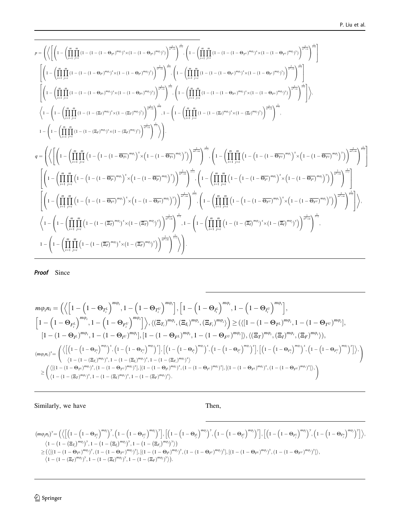$$
p = \left( \left\langle \left[ \left( 1 - \left( \prod_{i=1}^{m} \prod_{j=1}^{m} (1 - (1 - (1 - \Theta_{ri})^{m\omega})^{s} \times (1 - (1 - \Theta_{ri})^{m\omega})^{s} \right) \right)^{\frac{1}{m\omega_{in}}} \right)^{\frac{1}{m\omega_{in}}} \right]^{1 - \left( \prod_{i=1}^{m} \prod_{j=1}^{m} (1 - (1 - (1 - \Theta_{ri})^{m\omega})^{s} \times (1 - (1 - \Theta_{ri})^{m\omega})^{s}) \right)^{\frac{1}{m\omega_{in}}} \right)^{\frac{1}{m\omega_{in}}} \right)
$$
\n
$$
\left[ \left( 1 - \left( \prod_{i=1}^{m} \prod_{j=1}^{m} (1 - (1 - (1 - \Theta_{ri})^{m\omega})^{s} \times (1 - (1 - \Theta_{ri})^{m\omega})^{s}) \right)^{\frac{1}{m\omega_{in}}} \right)^{\frac{1}{m\omega_{in}}} \right]^{1 - \left( \prod_{i=1}^{m} \prod_{j=1}^{m} (1 - (1 - (1 - \Theta_{ri})^{m\omega})^{s} \times (1 - (1 - \Theta_{ri})^{m\omega})^{s}) \right)^{\frac{1}{m\omega_{in}}} \right)^{\frac{1}{m\omega_{in}}} \right]
$$
\n
$$
\left\langle 1 - \left( \prod_{i=1}^{m} \prod_{j=1}^{m} (1 - (1 - (1 - \Theta_{ri})^{m\omega})^{s} \times (1 - (1 - \Theta_{ri})^{m\omega})^{s}) \right)^{\frac{1}{m\omega_{in}}} \right)^{\frac{1}{m\omega_{in}}} \right]^{1 - \left( 1 - \left( \prod_{i=1}^{m} \prod_{j=1}^{m} (1 - (1 - (1 - \Theta_{ri})^{m\omega})^{s} \times (1 - (1 - \Theta_{ri})^{m\omega})^{s}) \right)^{\frac{1}{m\omega_{in}}} \right)^{\frac{1}{m\omega_{in}}} \right)
$$
\n
$$
q = \left( \left\langle \left[ \left( 1 - \left( \prod_{i=1}^{m} \prod_{j=1}^{m} (1 - (1 - (\Xi_{ri})^{m\omega})^{s}) \times (1 - (\Xi_{ri})^{m\omega})^{s}) \right)^{\frac{1}{m\omega_{in}}} \right)^{\frac{1}{
$$

Proof Since

$$
\begin{split} &m\phi_{i}n_{i}=\Big(\Big\langle \Big[1-\Big(1-\Theta_{T_{i}^{L}}\Big)^{m\phi_{i}},1-\Big(1-\Theta_{T_{i}^{U}}\Big)^{m\phi_{i}}\Big],\Big[1-\Big(1-\Theta_{I_{r}^{L}}\Big)^{m\phi_{i}},1-\Big(1-\Theta_{I_{r}^{U}}\Big)^{m\phi_{i}}\Big],\\ &\Big[1-\Big(1-\Theta_{F_{i}^{L}}\Big)^{m\phi_{i}},1-\Big(1-\Theta_{F_{i}^{U}}\Big)^{m\phi_{i}}\Big]\Big\rangle,\langle(\Xi_{T_{i}})^{m\phi_{i}},(\Xi_{I_{i}})^{m\phi_{i}},(\Xi_{F_{i}})^{m\phi_{i}}\rangle\Big)\geq (\langle [1-(1-\Theta_{T^{L}})^{m\phi_{i}},1-(1-\Theta_{T^{U}})^{m\phi_{i}}],\\ &\Big[1-(1-\Theta_{I^{L}})^{m\phi_{i}},1-(1-\Theta_{I^{U}})^{m\phi_{i}}\Big],\Big[1-(1-\Theta_{F^{L}})^{m\phi_{i}},1-(1-\Theta_{F^{U}})^{m\phi_{i}}\Big]\rangle,\langle(\Xi_{T})^{m\phi_{i}},(\Xi_{T})^{m\phi_{i}},(\Xi_{T})^{m\phi_{i}}\rangle,\\ &\Big(\langle [1-(1-\Theta_{T_{i}^{L}})^{m\phi_{i}}]^{m\phi_{i}},1-(1-\Theta_{T_{i}^{U}})^{m\phi_{i}}\rangle^{m\phi_{i}}\Big)\Big],\Big[\Big(1-\Big(1-\Theta_{I_{r}^{U}}\Big)^{m\phi_{i}},1-(1-\Theta_{I_{r}^{U}})^{m\phi_{i}}\Big)^{m\phi_{i}}\Big],\Big[\Big(1-\Big(1-\Theta_{I_{r}^{U}}\Big)^{m\phi_{i}},(\Xi_{T})^{m\phi_{i}},(\Xi_{T})^{m\phi_{i}}\rangle^{m\phi_{i}}\Big)\Big],\\ &\Big(\langle [1-(1-\Theta_{T_{i}^{U}})^{m\phi_{i}}]^{m\phi_{i}}^{m\phi_{i}},1-(1-(\Xi_{T_{i}^{U}})^{m\phi_{i}})^{m\phi_{i}}\rangle^{m\phi_{i}}\Big]\Big(\Big(1-\Big(1-\Theta_{I_{r}^{U}}\Big)^{m\phi_{i}}\Big)^{m\phi_{i}}\Big)\Big)\Big]\Big\rangle\\ \geq & \
$$

Similarly, we have Then,

$$
\begin{array}{l} (m\varphi_{j}n_{j})^{y} = \Big( \Big\langle \Big[ \Big(1-\Big(1-\Theta_{T_{j}^{L}}\Big)^{m\varphi_{j}}\Big)^{y}, \Big(1-\Big(1-\Theta_{T_{j}^{U}}\Big)^{m\varphi_{j}}\Big)^{y} \Big], \Big[ \Big(1-\Big(1-\Theta_{T_{j}^{L}}\Big)^{m\varphi_{j}}\Big)^{y}, \Big(1-\Big(1-\Theta_{T_{j}^{L}}\Big)^{m\varphi_{j}}\Big)^{y} \Big], \Big[ \Big(1-\Big(1-\Theta_{T_{j}^{L}}\Big)^{m\varphi_{j}}\Big)^{y} \Big], \Big[ \Big(1-\Big(1-\Theta_{T_{j}^{L}}\Big)^{m\varphi_{j}}\Big)^{y}, \Big(1-\Big(1-\Theta_{T_{j}^{L}}\Big)^{m\varphi_{j}}\Big)^{y} \Big], \Big[ \Big(1-\Big(1-\Theta_{T_{j}^{L}}\Big)^{m\varphi_{j}}\Big)^{y}, \Big(1-\Big(1-\Theta_{T_{j}^{L}}\Big)^{m\varphi_{j}}\Big)^{y} \Big], \Big[ \Big(1-\Big(1-\Theta_{T_{j}^{L}}\Big)^{m\varphi_{j}}\Big)^{y}, \Big(1-\Big(1-\Theta_{T_{j}^{L}}\Big)^{m\varphi_{j}}\Big)^{y} \Big], \Big[ \Big(1-\Big(1-\Theta_{T_{j}^{L}}\Big)^{m\varphi_{j}}\Big)^{y}, \Big(1-\Big(1-\Theta_{T_{j}^{L}}\Big)^{m\varphi_{j}}\Big)^{y}, \Big[ \Big(1-\Big(1-\Theta_{T_{j}^{L}}\Big)^{m\varphi_{j}}\Big)^{y}, \Big(1-\Big(1-\Theta_{T_{j}^{L}}\Big)^{m\varphi_{j}}\Big)^{y}, \Big[ \Big(1-\Big(1-\Theta_{T_{j}^{L}}\Big)^{m\varphi_{j}}\Big)^{y}, \Big[ \Big(1-\Big(1-\Theta_{T_{j}^{L}}\Big)^{m\varphi_{j}}\Big)^{y}, \Big[ \Big(1-\Big(1-\Theta_{T_{j}^{L}}\Big)^{m\varphi_{j}}\Big)^{y}, \Big[ \Big(1-\Big(1-\Theta_{T_{j}^{L}}\Big)^{m\varphi_{j}}\Big)^{y}, \Big[ \Big(1-\Big(1
$$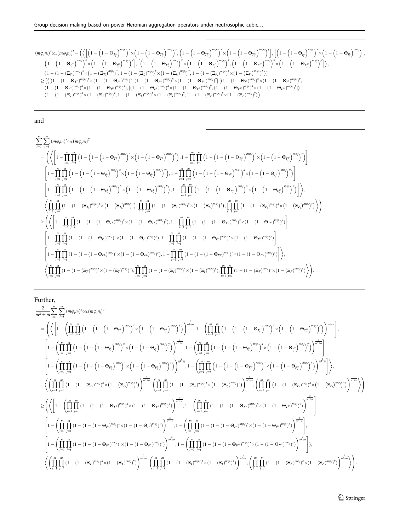Group decision making based on power Heronian aggregation operators under neutrosophic cubic…

$$
(m\varphi_i n_i)^x \otimes_h (m\varphi_j n_j)^y = \Big( \Big\{ \Big[ \Big( 1 - \Big( 1 - \Theta_{T_i^L} \Big)^{m\varphi_i} \Big)^x \times \Big( 1 - \Big( 1 - \Theta_{T_i^L} \Big)^{m\varphi_j} \Big)^y, \Big( 1 - \Big( 1 - \Theta_{T_i^U} \Big)^{m\varphi_i} \Big)^x \times \Big( 1 - \Big( 1 - \Theta_{T_i^U} \Big)^{m\varphi_j} \Big)^y, \Big[ \Big( 1 - \Big( 1 - \Theta_{T_i^U} \Big)^{m\varphi_j} \Big)^y, \Big[ \Big( 1 - \Big( 1 - \Theta_{T_i^U} \Big)^{m\varphi_j} \Big)^x \times \Big( 1 - \Big( 1 - \Theta_{T_i^U} \Big)^{m\varphi_j} \Big)^x \times \Big( 1 - \Big( 1 - \Theta_{T_i^U} \Big)^{m\varphi_j} \Big)^x \times \Big( 1 - \Big( 1 - \Theta_{T_i^U} \Big)^{m\varphi_j} \Big)^x \times \Big( 1 - \Big( 1 - \Theta_{T_i^U} \Big)^{m\varphi_j} \Big)^x \times \Big( 1 - \Big( 1 - \Theta_{T_i^U} \Big)^{m\varphi_j} \Big)^y, \Big[ \Big( 1 - \Big( 1 - \Theta_{T_i^U} \Big)^{m\varphi_j} \Big)^y, \Big( 1 - \Big( 1 - \Theta_{T_i^U} \Big)^{m\varphi_j} \Big)^y \times \Big( 1 - \Big( 1 - \Theta_{T_i^U} \Big)^{m\varphi_j} \Big)^y \Big] \Big\rangle, \\ \Big\langle 1 - \Big( 1 - \Big( \Xi_{T_i} \Big)^{m\varphi_j} \Big)^x \times \Big( 1 - \Big( \Xi_{T_i} \Big)^{m\varphi_j} \Big)^y, \Big( 1 - \Big( 1 - \Theta_{T_i^U} \Big)^{m\varphi_j} \Big)^y, \Big( 1 - \Big( 1 - \Theta_{T_i^U} \Big)^{m\varphi_j} \Big)^y \Big\rangle, \Big[ \Big( 1 - \Big( 1 - \Theta_{T_i^U} \Big)^{m\varphi_j} \Big)^y \Big\rangle, \\ \geq \Big( \Big\langle \Big[ \big( 1 - \big( 1 -
$$

and

$$
\sum_{i=1}^{m} \sum_{j=i}^{m} (m\varphi_{i}n_{i})^{x} \otimes_{h} (m\varphi_{j}n_{j})^{y}
$$
\n
$$
= \left( \left\langle \left[1 - \prod_{i=1}^{m} \prod_{j=i}^{m} \left(1 - \left(1 - \left(1 - \Theta_{T_{i}^{L}}\right)^{m\varphi_{i}}\right)^{x} \times \left(1 - \left(1 - \Theta_{T_{i}^{L}}\right)^{m\varphi_{j}}\right)^{y}\right), 1 - \prod_{i=1}^{m} \prod_{j=i}^{m} \left(1 - \left(1 - \left(1 - \Theta_{T_{i}^{L}}\right)^{m\varphi_{j}}\right)^{x} \times \left(1 - \left(1 - \Theta_{T_{i}^{L}}\right)^{m\varphi_{j}}\right)^{y}\right)\right] \right) \times \left[1 - \prod_{i=1}^{m} \prod_{j=i}^{m} \left(1 - \left(1 - \left(1 - \Theta_{T_{i}^{L}}\right)^{m\varphi_{i}}\right)^{x} \times \left(1 - \left(1 - \Theta_{T_{i}^{L}}\right)^{m\varphi_{j}}\right)^{y}\right), 1 - \prod_{i=1}^{m} \prod_{j=i}^{m} \left(1 - \left(1 - \left(1 - \Theta_{T_{i}^{L}}\right)^{m\varphi_{j}}\right)^{x} \times \left(1 - \left(1 - \Theta_{T_{i}^{L}}\right)^{m\varphi_{j}}\right)^{y}\right)\right] \times \left[1 - \prod_{i=1}^{m} \prod_{j=i}^{m} \left(1 - \left(1 - \left(1 - \Theta_{T_{i}^{L}}\right)^{m\varphi_{j}}\right)^{x}\right) \times \left(1 - \left(1 - \Theta_{T_{i}^{L}}\right)^{m\varphi_{j}}\right)^{y}\right), 1 - \prod_{i=1}^{m} \prod_{j=i}^{m} \left(1 - \left(1 - \left(1 - \Theta_{T_{i}^{L}}\right)^{m\varphi_{j}}\right)^{x}\times \left(1 - \left(1 - \Theta_{T_{i}^{L}}\right)^{m\varphi_{j}}\right)^{y}\right)\right], 1 - \prod_{i=1}^{m} \prod_{j=i}^{m} \left(1 - \left(1 - \left(1 - \
$$

Further,

$$
\begin{split} &\frac{2}{m^2+m}\sum_{i=1}^m\sum_{j=i}^m(m\varphi_i n_i)^s\otimes_h(m\varphi_j n_j)^s\\ &=\left(\left\langle \left[1-\left(\prod_{i=1}^m\prod_{j=i}^m\left(1-\left(1-\left(1-\Theta_{T_i^c}\right)^{m\varphi_j}\right)^x\times\left(1-\left(1-\Theta_{T_i^c}\right)^{m\varphi_j}\right)^x\right)\right)^{\frac{1}{m^2+m}} ,1-\left(\prod_{i=1}^m\prod_{j=i}^m\left(1-\left(1-\left(1-\left(1-\Theta_{T_i^c}\right)^{m\varphi_j}\right)^x\right)\right)^{\frac{1}{m^2+m}}\right],\\ &\left[1-\left(\prod_{i=1}^m\prod_{j=i}^m\left(1-\left(1-\left(1-\left(1-\Theta_{T_i^c}\right)^{m\varphi_j}\right)^x\times\left(1-\left(1-\Theta_{T_i^c}\right)^{m\varphi_j}\right)^x\right)\right)^{\frac{1}{m^2+m}} ,1-\left(\prod_{i=1}^m\prod_{j=i}^m\left(1-\left(1-\left(1-\left(1-\Theta_{T_i^c}\right)^{m\varphi_j}\right)^x\right)\right)^{\frac{1}{m^2+m}}\right],\\ &\left[1-\left(\prod_{i=1}^m\prod_{j=i}^m\left(1-\left(1-\left(1-\left(1-\Theta_{F_i^c}\right)^{m\varphi_j}\right)^x\times\left(1-\left(1-\Theta_{F_i^c}\right)^{m\varphi_j}\right)^x\right)\right)^{\frac{1}{m^2+m}} ,1-\left(\prod_{i=1}^m\prod_{j=i}^m\left(1-\left(1-\left(1-\left(1-\Theta_{F_i^c}\right)^{m\varphi_j}\right)^x\right)\right)^{\frac{1}{m^2+m}}\right],\\ &\left\langle\left(\prod_{i=1}^m\prod_{j=i}^m\left(1-\left(1-\left(1-\left(1-\Theta_{F_i^c}\right)^{m\varphi_j}\right)^x\times\left(1-\left(\Xi_{T_i}\right)^{m\varphi_j}\right)^x\right)\right)^{\frac{1}{m^2+m}} ,1-\left(\prod_{i=1}^m\prod_{j=i}^m\left(1-\left(1-\left(1-\left(1-\Theta_{F_i^c}\right)^{m\varphi_j}\right)^x\right
$$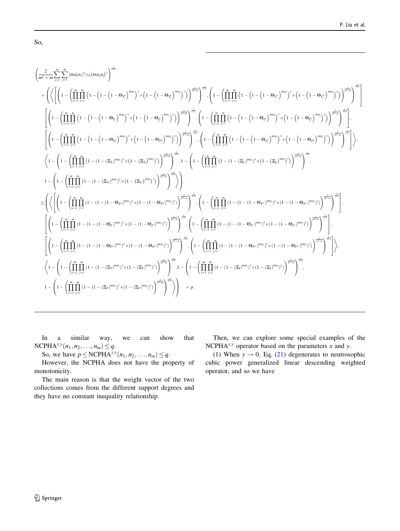$$
\begin{split} &\left(\frac{2}{m^2+m}\sum_{i=1}^m\sum_{j=1}^m(m\phi_i n_j)^s\otimes_b(m\phi_j n_j)^s\right)^{\frac{1}{s+1}}\\ &=\left(\left\langle\left[\left(1-\left(\prod_{i=1}^m\prod_{j=1}^m\left(1-\left(1-\left(1-\left(1-\Theta_{r_j}\right)^{m\phi_j}\right)^s\times\left(1-\left(1-\Theta_{r_j}\right)^{m\phi_j}\right)^s\right)\right)^{\frac{1}{s+1}}\right)^{\frac{s}{s+1}}\right]_{\phi_i}\right.\\ &\left.\left[\left(1-\left(\prod_{i=1}^m\prod_{j=1}^m\left(1-\left(1-\left(1-\Theta_{r_j}\right)^{m\phi_j}\right)^s\times\left(1-\left(1-\Theta_{r_j}\right)^{m\phi_j}\right)^s\right)\right)^{\frac{s}{s+1}}\right)^{\frac{1}{s+1}}\right]_{\phi_i}\left(1-\left(\prod_{i=1}^m\prod_{j=1}^m\left(1-\left(1-\left(1-\Theta_{r_j}\right)^{m\phi_j}\right)^s\right)\right)^{\frac{s}{s+1}}\right)^{\frac{1}{s+1}}\right)\\ &\left[\left(1-\left(\prod_{i=1}^m\prod_{j=1}^m\left(1-\left(1-\left(1-\Theta_{r_j}\right)^{m\phi_j}\right)^s\times\left(1-\left(1-\Theta_{r_j}\right)^{m\phi_j}\right)^s\right)\right)^{\frac{1}{s+1}}\right)^{\frac{1}{s+1}}\right]_{\phi_i}\left(1-\left(\prod_{i=1}^m\prod_{j=1}^m\left(1-\left(1-\left(1-\Theta_{r_j}\right)^{m\phi_j}\right)^s\right)\right)^{\frac{s}{s+1}}\right)^{\frac{1}{s+1}}\right)\\ &\left\langle1-\left(1-\left(\prod_{i=1}^m\prod_{j=1}^m\left(1-\left(1-\left(1-\Theta_{r_j}\right)^{m\phi_j}\right)^s\times\left(1-\left(\Xi_{r_j}\right)^{m\phi_j}\right)^s\right)\right)^{\frac{s}{s+1}}\right)^{\frac{1}{s+1}}\right)^{\frac{1}{s+1}}\right)\right\rangle\\ &\left.+\left(1-\left(\prod_{i=1}^m\prod_{j=1}^m\left(1-\left(1-\left
$$

In a similar way, we can show that  $NCPHA^{x,y}(n_1, n_2, ..., n_m) \leq q.$ 

So, we have  $p \le \text{NCPHA}^{x,y}(n_1, n_2, \ldots, n_m) \le q$ .

However, the NCPHA does not have the property of monotonicity.

The main reason is that the weight vector of the two collections comes from the different support degrees and they have no constant inequality relationship.

Then, we can explore some special examples of the NCPH $A^{x,y}$  operator based on the parameters x and y.

(1) When  $y \rightarrow 0$ , Eq. (21) degenerates to neutrosophic cubic power generalized linear descending weighted operator, and so we have

So,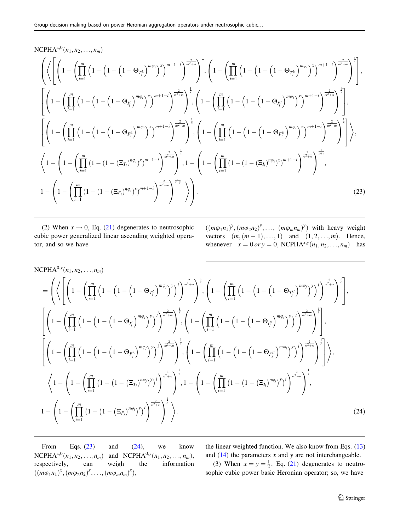# NCPHA<sup>x,0</sup> $(n_1, n_2, ..., n_m)$

$$
\left(\left\{\left(\left[1-\left(\prod_{i=1}^{m}\left(1-\left(1-\left(1-\Theta_{T_{i}}\right)^{m\phi_{i}}\right)^{x}\right)^{m+1-i}\right)^{\frac{2}{m^{2}+m}}\right)^{\frac{1}{x}},\left(1-\left(\prod_{i=1}^{m}\left(1-\left(1-\left(1-\Theta_{T_{i}^{\prime}}\right)^{m\phi_{i}}\right)^{x}\right)^{m+1-i}\right)^{\frac{2}{m^{2}+m}}\right)^{\frac{1}{x}}\right],
$$
\n
$$
\left[\left(1-\left(\prod_{i=1}^{m}\left(1-\left(1-\left(1-\Theta_{T_{i}^{\prime}}\right)^{m\phi_{i}}\right)^{x}\right)^{m+1-i}\right)^{\frac{2}{m^{2}+m}}\right)^{\frac{1}{x}},\left(1-\left(\prod_{i=1}^{m}\left(1-\left(1-\left(1-\Theta_{T_{i}^{\prime}}\right)^{m\phi_{i}}\right)^{x}\right)^{m+1-i}\right)^{\frac{2}{m^{2}+m}}\right)^{\frac{1}{x}}\right],
$$
\n
$$
\left[\left(1-\left(\prod_{i=1}^{m}\left(1-\left(1-\left(1-\Theta_{T_{i}^{\prime}}\right)^{m\phi_{i}}\right)^{x}\right)^{m+1-i}\right)^{\frac{2}{m^{2}+m}}\right)^{\frac{1}{x}},\left(1-\left(\prod_{i=1}^{m}\left(1-\left(1-\left(1-\Theta_{T_{i}^{\prime}}\right)^{m\phi_{i}}\right)^{x}\right)^{m+1-i}\right)^{\frac{2}{m^{2}+m}}\right)^{\frac{1}{x}}\right],
$$
\n
$$
\left\{\left(1-\left(1-\left(\prod_{i=1}^{m}\left(1-\left(1-\left(\Xi_{T_{i}}\right)^{n\phi_{i}}\right)^{x}\right)^{m+1-i}\right)^{\frac{2}{m^{2}+m}}\right)^{\frac{1}{x}},\left(1-\left(\prod_{i=1}^{m}\left(1-\left(1-\left(\Xi_{T_{i}}\right)^{n\phi_{i}}\right)^{x}\right)^{m+1-i}\right)^{\frac{2}{m^{2}+m}}\right)^{\frac{1}{x}}\right),
$$
\n
$$
1-\left(1-\left(\prod_{i=1}^{m}\left(1-\
$$

(2) When  $x \to 0$ , Eq. (21) degenerates to neutrosophic cubic power generalized linear ascending weighted operator, and so we have

 $((m\varphi_1 n_1)^y, (m\varphi_2 n_2)^y, \ldots, (m\varphi_m n_m)^y)$  with heavy weight vectors  $(m, (m-1), \ldots, 1)$  and  $(1, 2, \ldots, m)$ . Hence, whenever  $x = 0$  or  $y = 0$ , NCPHA<sup>x,y</sup>( $n_1, n_2, ..., n_m$ ) has

NCPHA<sup>0,y</sup>(n<sub>1</sub>, n<sub>2</sub>,...,n<sub>m</sub>)  
\n=
$$
\left(\left\langle \left[ \left(1 - \left(\prod_{i=1}^{m} \left(1 - \left(1 - \left(1 - \Theta_{T_j^L}\right)^{m\varphi_j}\right)^y\right)^i\right)^{\frac{2}{m^2+m}}\right)^{\frac{1}{y}} , \left(1 - \left(\prod_{i=1}^{m} \left(1 - \left(1 - \left(1 - \Theta_{T_j^U}\right)^{m\varphi_j}\right)^y\right)^i\right)^{\frac{2}{m^2+m}}\right)^{\frac{1}{y}} \right],
$$
  
\n $\left[\left(1 - \left(\prod_{i=1}^{m} \left(1 - \left(1 - \left(1 - \Theta_{T_j^L}\right)^{m\varphi_j}\right)^y\right)^i\right)^{\frac{2}{m^2+m}}\right)^{\frac{1}{y}}, \left(1 - \left(\prod_{i=1}^{m} \left(1 - \left(1 - \left(1 - \Theta_{T_j^U}\right)^{m\varphi_j}\right)^y\right)^i\right)^{\frac{2}{m^2+m}}\right)^{\frac{1}{y}}\right],$   
\n $\left[\left(1 - \left(\prod_{i=1}^{m} \left(1 - \left(1 - \left(1 - \Theta_{F_j^L}\right)^{m\varphi_j}\right)^y\right)^i\right)^{\frac{2}{m^2+m}}\right)^{\frac{1}{y}}, \left(1 - \left(\prod_{i=1}^{m} \left(1 - \left(1 - \left(1 - \Theta_{F_j^U}\right)^{m\varphi_j}\right)^y\right)^i\right)^{\frac{2}{m^2+m}}\right)^{\frac{1}{y}}\right],$   
\n $\left\langle 1 - \left(1 - \left(\prod_{i=1}^{m} \left(1 - \left(1 - \left(\Xi_{T_j}\right)^{n\varphi_j}\right)^y\right)^i\right)^{\frac{2}{m^2+m}}\right)^{\frac{1}{y}}, 1 - \left(1 - \left(\prod_{i=1}^{m} \left(1 - \left(1 - \left(\Xi_{T_j}\right)^{n\varphi_j}\right)^y\right)^i\right)^{\frac{2}{m^2+m}}\right)^{\frac{1}{y}},$   
\n $1 - \left(1 - \left(\prod_{i=1}^{m} \left(1 - \left(1 - \left(\Xi_{F_j$ 

From Eqs. (23) and (24), we know NCPHA<sup>x,0</sup> $(n_1, n_2, ..., n_m)$  and NCPHA<sup>0,y</sup> $(n_1, n_2, ..., n_m)$ , respectively, can weigh the information  $((m\varphi_1 n_1)^x, (m\varphi_2 n_2)^x, ..., (m\varphi_m n_m)^x),$ 

the linear weighted function. We also know from Eqs. (13) and  $(14)$  the parameters x and y are not interchangeable.

(3) When  $x = y = \frac{1}{2}$ , Eq. (21) degenerates to neutrosophic cubic power basic Heronian operator; so, we have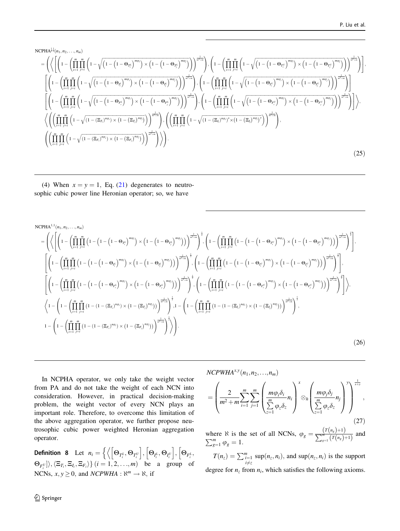<span id="page-15-0"></span>NCPHA<sup>$$
\frac{1}{2}
$$
st<sub>(n\_1, n\_2, ..., n\_m)</sub>  
\n
$$
= \left( \left\langle \left[ \left( 1 - \left( \prod_{i=1}^{m} \prod_{j=i}^{m} \left( 1 - \sqrt{\left( 1 - \left( 1 - \Theta_{T_i^L} \right)^{m\phi_i}} \right) \times \left( 1 - \left( 1 - \Theta_{T_i^L} \right)^{m\phi_i}} \right) \right) \right]_{\pi^2 + m}^{-\frac{2}{n-1}} \right), \left( 1 - \left( \prod_{i=1}^{m} \prod_{j=i}^{m} \left( 1 - \sqrt{\left( 1 - \left( 1 - \Theta_{T_i^U} \right)^{m\phi_i}} \right) \times \left( 1 - \left( 1 - \Theta_{T_i^U} \right)^{m\phi_j}} \right) \right) \right)_{\pi^2 + m} \right) \right],
$$
\n
$$
\left[ \left( 1 - \left( \prod_{i=1}^{m} \prod_{j=i}^{m} \left( 1 - \sqrt{\left( 1 - \left( 1 - \Theta_{T_i^L} \right)^{m\phi_i}} \right) \times \left( 1 - \left( 1 - \Theta_{T_i^L} \right)^{m\phi_j}} \right) \right) \right)_{\pi^2 + m} \right), \left( 1 - \left( \prod_{i=1}^{m} \prod_{j=i}^{m} \left( 1 - \sqrt{\left( 1 - \left( 1 - \Theta_{T_i^U} \right)^{m\phi_i}} \right) \times \left( 1 - \left( 1 - \Theta_{T_i^U} \right)^{m\phi_j}} \right) \right) \right)_{\pi^2 + m} \right) \right]
$$
\n
$$
\left\langle \left( \left( \prod_{i=1}^{m} \prod_{j=i}^{m} \left( 1 - \sqrt{\left( 1 - \left( 1 - \Theta_{F_i^L} \right)^{m\phi_i}} \right) \times \left( 1 - \left( 1 - \Theta_{F_i^L} \right)^{m\phi_i}} \right) \right) \right)_{\pi^2 + m} \right), \left( 1 - \left( \prod_{i=1}^{m} \prod_{j=i}^{m} \left( 1 - \sqrt{\left( 1 - \left( 1 - \Theta_{F_i^U} \right)^{m\phi_i}} \right) \right) \right) \right)_{\
$$</sup>

(4) When  $x = y = 1$ , Eq. (21) degenerates to neutrosophic cubic power line Heronian operator; so, we have

NCPHA<sup>1,1</sup>(n<sub>1</sub>, n<sub>2</sub>,..., n<sub>m</sub>)  
\n
$$
= \left( \left\langle \left[ \left( 1 - \left( \prod_{i=1}^{m} \prod_{j=i}^{m} \left( 1 - \left( 1 - \left( 1 - \Theta_{\tau_i^L} \right)^{m\varphi_i} \right) \times \left( 1 - \left( 1 - \Theta_{\tau_i^L} \right)^{m\varphi_i} \right) \right) \right] \right]_{\substack{s=\mu_0}}^{\frac{2}{\alpha + \mu_0}} \right)^{\frac{1}{\alpha}} \right\rangle
$$
\n
$$
\left[ \left( 1 - \left( \prod_{i=1}^{m} \prod_{j=i}^{m} \left( 1 - \left( 1 - \left( 1 - \Theta_{\tau_i^L} \right)^{m\varphi_i} \right) \times \left( 1 - \left( 1 - \Theta_{\tau_i^L} \right)^{m\varphi_i} \right) \right) \right) \right]_{\substack{s=\mu_0}}^{\frac{2}{\alpha + \mu_0}} \right)^{\frac{1}{\alpha}} \right],
$$
\n
$$
\left[ \left( 1 - \left( \prod_{i=1}^{m} \prod_{j=i}^{m} \left( 1 - \left( 1 - \left( 1 - \Theta_{\tau_i^L} \right)^{m\varphi_i} \right) \times \left( 1 - \left( 1 - \Theta_{\tau_i^L} \right)^{m\varphi_i} \right) \right) \right) \right]_{\substack{s=\mu_0}}^{\frac{2}{\alpha + \mu_0}} \right)^{\frac{1}{\alpha}} \right],
$$
\n
$$
\left[ \left( 1 - \left( \prod_{i=1}^{m} \prod_{j=i}^{m} \left( 1 - \left( 1 - \left( 1 - \Theta_{\tau_i^L} \right)^{m\varphi_i} \right) \times \left( 1 - \left( 1 - \Theta_{\tau_i^L} \right)^{m\varphi_i} \right) \right) \right) \right]_{\substack{s=\mu_0}}^{\frac{2}{\alpha + \mu_0}} \right)^{\frac{1}{\alpha}} \right],
$$
\n
$$
\left\langle 1 - \left( 1 - \left( \prod_{i=1}^{m} \prod_{j=i}^{m} \left( 1 - \left( 1 - \left( 1 - \Theta_{\tau
$$

In NCPHA operator, we only take the weight vector from PA and do not take the weight of each NCN into consideration. However, in practical decision-making problem, the weight vector of every NCN plays an important role. Therefore, to overcome this limitation of the above aggregation operator, we further propose neutrosophic cubic power weighted Heronian aggregation operator.

**Definition 8** Let  $n_i = \left\{ \left\langle \left[\Theta_{T_i^L}, \Theta_{T_i^U}\right], \left[\Theta_{I_i^L}, \Theta_{I_i^U}\right], \left[\Theta_{F_i^L}, \Theta_{I_i^U}\right], \left[\Theta_{F_i^L}, \Theta_{I_i^U}\right], \left[\Theta_{F_i^L}, \Theta_{F_i^U}\right], \left[\Theta_{F_i^L}, \Theta_{F_i^U}\right], \left[\Theta_{F_i^L}, \Theta_{F_i^U}\right], \left[\Theta_{F_i^L}, \Theta_{F_i^U}\right], \left[\Theta_{F_i^L}, \Theta_{F_i^U}\right], \left[\Theta_{F_i^L},$  $\frac{1}{2}$  $\{\Theta_{F_i^U}\}\rangle, \langle \Xi_{T_i}, \Xi_{I_i}, \Xi_{F_i}\rangle\}$   $(i = 1, 2, ..., m)$  be a group of NCNs,  $x, y \ge 0$ , and *NCPWHA* :  $\aleph^m \rightarrow \aleph$ , if

$$
NCPWHA^{x,y}(n_1,n_2,...,n_m)
$$

$$
= \left(\frac{2}{m^2+m}\sum_{i=1}^m\sum_{j=1}^m\left(\frac{m\varphi_i\delta_i}{\sum_{z=1}^m\varphi_z\delta_z}n_i\right)^x\otimes_h\left(\frac{m\varphi_j\delta_j}{\sum_{z=1}^m\varphi_z\delta_z}n_j\right)^y\right)^{\frac{1}{x+y}},\tag{27}
$$

where N is the set of all NCNs,  $\varphi_g = \frac{(T(n_g)+1)}{\sum^m (T(n_g))}$ where  $\aleph$  is the set of all NCNs,  $\varphi_g = \frac{\binom{1}{s} \binom{n_g}{s} + 1}{\sum_{g=1}^m (T(n_g) + 1)}$  and  $\sum_{g=1}^m \varphi_g = 1$ .

 $T(n_z) = \sum_{\substack{i=1 \ i \neq z}}^m \sup(n_z, n_i)$ , and  $\sup(n_z, n_i)$  is the support degree for  $n_z$  from  $n_i$ , which satisfies the following axioms.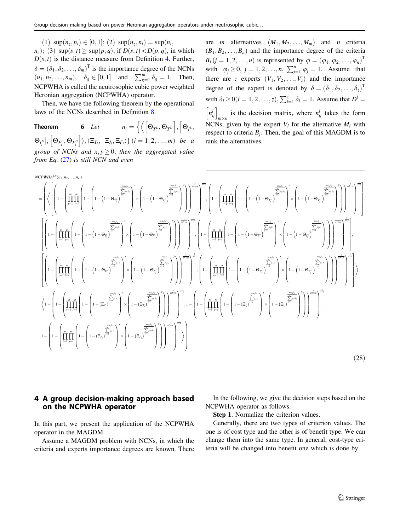<span id="page-16-0"></span>(1)  $\sup(n_z, n_i) \in [0, 1]$ ; (2)  $\sup(n_z, n_i) = \sup(n_i,$  $n_z$ ; (3) sup $(s, t) \ge \sup(p, q)$ , if  $D(s, t) < D(p, q)$ , in which  $D(s, t)$  is the distance measure from Definition [4](#page-4-0). Further,  $\delta = (\delta_1, \delta_2, \dots, \delta_m)^T$  is the importance degree of the NCNs  $(n_1, n_2, \ldots, n_m), \quad \delta_g \in [0, 1]$  and  $\sum_{g=1}^m \delta_g = 1$ . Then, NCPWHA is called the neutrosophic cubic power weighted Heronian aggregation (NCPWHA) operator.

Then, we have the following theorem by the operational laws of the NCNs described in Definition [8.](#page-15-0)

Theorem 6 Let  $n_i = \left\{ \left\langle \left[\Theta_{T_i^L}, \Theta_{T_i^U} \right], \left[\Theta_{I_i^L}, \Theta_{T_i^U} \right], \left[\Theta_{T_i^L}, \Theta_{T_i^U} \right], \left[\Theta_{T_i^L}, \Theta_{T_i^U} \right], \left[\Theta_{T_i^L}, \Theta_{T_i^U} \right], \left[\Theta_{T_i^L}, \Theta_{T_i^U} \right], \left[\Theta_{T_i^L}, \Theta_{T_i^U} \right], \left[\Theta_{T_i^L}, \Theta_{T_i^U} \right], \left[\Theta_{T_i^L}, \Theta_{T_i^U} \right], \left[\Theta_{T$  $\frac{1}{2}$  $\Theta_{I_i^U}, \left[ \Theta_{F_i^L}, \Theta_{F_i^U} \right] \rangle, \langle \Xi_{T_i}, \Xi_{I_i}, \Xi_{F_i} \rangle \}$   $(i = 1, 2, ..., m)$  be a group of NCNs and  $x, y > 0$ , then the aggregated value from Eq.  $(27)$  is still NCN and even

are *m* alternatives  $(M_1, M_2, \ldots, M_m)$  and *n* criteria  $(B_1, B_2, \ldots, B_n)$  and the importance degree of the criteria  $B_j$   $(j = 1, 2, \ldots, n)$  is represented by  $\varphi = (\varphi_1, \varphi_2, \ldots, \varphi_n)^T$ with  $\varphi_j \ge 0, j = 1, 2, ..., n, \sum_{j=1}^n \varphi_j = 1$ . Assume that there are z experts  $(V_1, V_2, \ldots, V_z)$  and the importance degree of the expert is denoted by  $\delta = (\delta_1, \delta_2, \ldots, \delta_{z})^T$ with  $\delta_l \ge 0$   $(l = 1, 2, \ldots, z)$ ,  $\sum_{l=1}^{z} \delta_l = 1$ . Assume that  $D^l =$  $\left[n_{ij}^l\right]_{m \times n}$  is the decision matrix, where  $n_{ij}^l$  takes the form NCNs, given by the expert  $V_l$  for the alternative  $M_i$  with respect to criteria  $B_i$ . Then, the goal of this MAGDM is to rank the alternatives.

$$
NCPWA^{N}(n_1, n_2, \ldots, n_m)
$$
\n
$$
= \left( \left\langle \left[ \left( 1 - \left( \prod_{i=1}^m \prod_{j=1}^m \left( 1 - \left( 1 - \Theta_{r_i} \right)^{\frac{-m\Delta}{\sum_{j=1}^m \Delta_{r_i}} \right)^x \left( 1 - \left( 1 - \Theta_{r_i} \right)^{\frac{-m\Delta}{\sum_{j=1}^m \Delta_{r_i}} \right)^x \right) \right] \right] \right\rangle^{2\pi} \right)^{1/2} \right) \right\}^{2\pi}
$$
\n
$$
= \left( \left\langle \left[ \left( 1 - \left( \prod_{i=1}^m \prod_{j=1}^m \left( 1 - \left( 1 - \Theta_{r_i} \right)^{\frac{-m\Delta}{\sum_{j=1}^m \Delta_{r_i}} \right)^x \left( 1 - \left( 1 - \Theta_{r_i} \right)^{\frac{-m\Delta}{\sum_{j=1}^m \Delta_{r_i}} \right)^x} \right) \right] \right\rangle^{2\pi} \right)^{2\pi}
$$
\n
$$
\left[ \left( 1 - \left( \prod_{i=1}^m \prod_{j=1}^m \left( 1 - \left( 1 - \Theta_{r_i} \right)^{\frac{-m\Delta}{\sum_{j=1}^m \Delta_{r_i}} \right)^x \left( 1 - \left( 1 - \Theta_{r_i} \right)^{\frac{-m\Delta}{\sum_{j=1}^m \Delta_{r_i}} \right)^x} \right) \right] \right\rangle^{2\pi} \right]^{2\pi}
$$
\n
$$
\left[ \left( 1 - \left( \prod_{i=1}^m \prod_{j=1}^m \left( 1 - \left( 1 - \Theta_{r_i} \right)^{\frac{-m\Delta}{\sum_{j=1}^m \Delta_{r_i}} \right)^x \left( 1 - \left( 1 - \Theta_{r_i} \right)^{\frac{-m\Delta}{\sum_{j=1}^m \Delta_{r_i}} \right)^x} \left( 1 - \left( 1 - \Theta_{r_i} \right)^{\frac{-m\Delta}{\sum_{j=1}^m \Delta_{r_i}} \right)^x} \right) \right) \right]^{2\pi} \right]^{2\pi}
$$
\n
$$
\left\langle 1 - \left( \prod_{i=1}^m \prod_{j=1}^
$$

# 4 A group decision-making approach based on the NCPWHA operator

In this part, we present the application of the NCPWHA operator in the MAGDM.

Assume a MAGDM problem with NCNs, in which the criteria and experts importance degrees are known. There

In the following, we give the decision steps based on the NCPWHA operator as follows.

Step 1. Normalize the criterion values.

Generally, there are two types of criterion values. The one is of cost type and the other is of benefit type. We can change them into the same type. In general, cost-type criteria will be changed into benefit one which is done by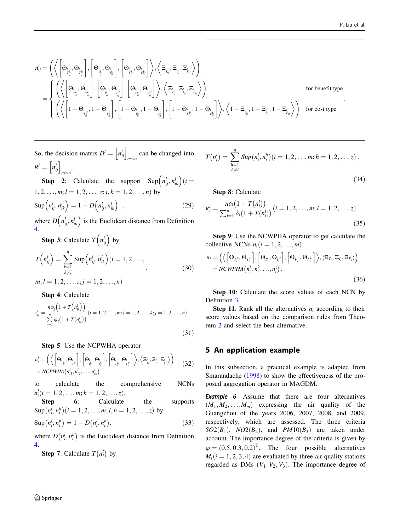<span id="page-17-0"></span>
$$
\begin{aligned} & n_{ij}^{l}=\left(\left\langle\left[\Theta_{\boldsymbol{\prime}_{l_{ij}^{l}}},\Theta_{\boldsymbol{\prime}_{l_{ij}^{l}}}\right],\left[\Theta_{\boldsymbol{\prime}_{l_{ij}^{l}}},\Theta_{\boldsymbol{\prime}_{l_{ij}^{l}}}\right],\left[\Theta_{\boldsymbol{\prime}_{l_{ij}^{l}}},\Theta_{\boldsymbol{\prime}_{l_{ij}^{l}}^{l}}\right]\right\rangle,\left\langle\Xi_{\boldsymbol{\prime}_{l_{ij}}},\Xi_{\boldsymbol{\prime}_{l_{ij}}},\Xi_{\boldsymbol{\prime}_{l_{ij}}}\right\rangle\right)\\ &=\left\{\begin{aligned} &\left(\left\langle\left[\Theta_{\boldsymbol{\prime}_{l_{ij}^{l}}},\Theta_{\boldsymbol{\prime}_{l_{ij}^{l}}^{l}}\right],\left[\Theta_{\boldsymbol{\prime}_{l_{ij}^{l}}},\Theta_{\boldsymbol{\prime}_{l_{ij}^{l}}^{l}}\right],\left[\Theta_{\boldsymbol{\prime}_{l_{ij}^{l}}},\Theta_{\boldsymbol{\prime}_{l_{ij}^{l}}^{l}}\right]\right\rangle,\left\langle\Xi_{\boldsymbol{\prime}_{l_{ij}}},\Xi_{\boldsymbol{\prime}_{l_{ij}}},\Xi_{\boldsymbol{\prime}_{l_{ij}}}\right\rangle\right)\\ &=\left\{\begin{aligned} &\left(\left\langle\left[\left[1-\Theta_{\boldsymbol{\prime}_{l_{ij}^{l}}},1-\Theta_{\boldsymbol{\prime}_{l_{ij}^{l}}^{l}}\right],\left[1-\Theta_{\boldsymbol{\prime}_{l_{ij}^{l}}},1-\Theta_{\boldsymbol{\prime}_{l_{ij}^{l}}^{l}}\right],\left[1-\Theta_{\boldsymbol{\prime}_{l_{ij}^{l}}},1-\Theta_{\boldsymbol{\prime}_{l_{ij}^{l}}^{l}}\right],\left[1-\Theta_{\boldsymbol{\prime}_{l_{ij}^{l}}},1-\Theta_{\boldsymbol{\prime}_{l_{ij}^{l}}^{l}}\right]\right\rangle,\left\langle1-\Xi_{\boldsymbol{\prime}_{l_{ij}}},1-\Xi_{\boldsymbol{\prime}_{l_{ij}}},1-\Xi_{\boldsymbol{\prime}_{l_{ij}}}\right\rangle\right) \end{aligned}\right. \text{ for each type }\\ \end{aligned}
$$

So, the decision matrix 
$$
D^l = [n_{ij}^l]_{m \times n}
$$
 can be changed into  
\n
$$
R^l = [n_{ij}^l]_{m \times n}.
$$
\n**Step 2:** Calculate the support 
$$
\text{Sup}(n_{ij}^l, n_{ik}^l)(i =
$$

 $1, 2, \ldots, m; l = 1, 2, \ldots, z; j, k = 1, 2, \ldots, n$  by  $\text{Sup}\left(n_{ij}^l, n_{ik}^l\right) = 1 - D\left(n_{ij}^l, n_{ik}^l\right)$ , (29)

where  $D\left(n_{ij}^l, n_{ik}^l\right)$  is the Euclidean distance from Definition [4](#page-4-0).

**Step 3**: Calculate  $T\left(n_{ij}^l\right)$  by

$$
T\left(n_{ij}^l\right) = \sum_{\substack{k=1\\k\neq j}}^n \text{Sup}\left(n_{ij}^l, n_{ik}^l\right) (i = 1, 2, \dots, \tag{30}
$$

 $m; l = 1, 2, \ldots, z; j = 1, 2, \ldots, n$ 

Step 4: Calculate

$$
\kappa_{ij}^l = \frac{n\varphi_j\left(1 + T\left(n_{ij}^l\right)\right)}{\sum\limits_{z=1}^n \varphi_z\left(1 + T\left(n_{iz}^l\right)\right)} (i = 1, 2, \dots, m; l = 1, 2, \dots, k; j = 1, 2, \dots, n).
$$
\n(31)

Step 5: Use the NCPWHA operator

$$
n_i^l = \left( \left\langle \left[ \Theta_{\substack{r_i^l, \\ r_i^l}} \Theta_{\substack{r_i^l, \\ r_i^l}} \right], \left[ \Theta_{\substack{r_i^l, \\ r_i^l}} \Theta_{\substack{r_i^l, \\ r_i^l}} \right], \left[ \Theta_{\substack{r_i^l, \\ r_i^l}} \Theta_{\substack{r_i^l, \\ r_i^l}} \right] \right\rangle, \left\langle \Xi_{\substack{r_i, \\ r_i^l}} \Xi_{\substack{r_i, \\ r_i^l}} \Xi_{\substack{r_i, \\ r_i^l}} \right\rangle \right) \tag{32}
$$

to calculate the comprehensive NCNs  $n_i^l (i = 1, 2, \ldots, m; k = 1, 2, \ldots, z).$ 

Step 6: Calculate the supports  $\sup(n_i^l, n_i^h)(i = 1, 2, ..., m; l, h = 1, 2, ..., z)$  by

$$
Sup(n_i^l, n_i^h) = 1 - D(n_i^l, n_i^h),
$$
\n(33)

where  $D(n_i^l, n_i^h)$  is the Euclidean distance from Definition [4](#page-4-0).

**Step 7:** Calculate  $T(n_i^l)$  by

$$
\hat{\underline{\mathbb{Z}}}
$$
 Springer

$$
T(n_i^l) = \sum_{\substack{h=1 \ h \neq i}}^n \text{Sup}(n_i^l, n_i^h)(i = 1, 2, ..., m; h = 1, 2, ..., z)
$$
\n(34)

Step 8: Calculate

$$
\kappa_i^l = \frac{n\delta_l\big(1 + T\big(n_i^l\big)\big)}{\sum_{l=1}^n \delta_l(1 + T\big(n_i^l)\big)} (i = 1, 2, \dots, m; l = 1, 2, \dots, z).
$$
\n(35)

Step 9: Use the NCWPHA operator to get calculate the collective NCNs  $n_i (i = 1, 2, \ldots, m)$ .

$$
n_i = \left( \left\langle \left[ \Theta_{T_i^L}, \Theta_{T_i^U} \right], \left[ \Theta_{I_i^L}, \Theta_{I_i^U} \right], \left[ \Theta_{F_i^L}, \Theta_{F_i^U} \right] \right\rangle, \left\langle \Xi_{T_i}, \Xi_{I_i}, \Xi_{F_i} \right\rangle \right) = NCWPHA(n_i^1, n_i^2, \dots, n_i^z)
$$
 (36)

Step 10: Calculate the score values of each NCN by Definition [3](#page-4-0).

**Step 11.** Rank all the alternatives  $n_i$  according to their score values based on the comparison rules from Theorem [2](#page-4-0) and select the best alternative.

### 5 An application example

In this subsection, a practical example is adapted from Smarandache ([1998\)](#page-26-0) to show the effectiveness of the proposed aggregation operator in MAGDM.

**Example 6** Assume that there are four alternatives  $(M_1, M_2, \ldots, M_m)$  expressing the air quality of the Guangzhou of the years 2006, 2007, 2008, and 2009, respectively, which are assessed. The three criteria  $SO2(B_1)$ ,  $NO2(B_2)$ , and  $PM10(B_3)$  are taken under account. The importance degree of the criteria is given by  $\varphi = (0.5, 0.3, 0.2)^T$ . The four possible alternatives  $M_i(i = 1, 2, 3, 4)$  are evaluated by three air quality stations regarded as DMs  $(V_1, V_2, V_3)$ . The importance degree of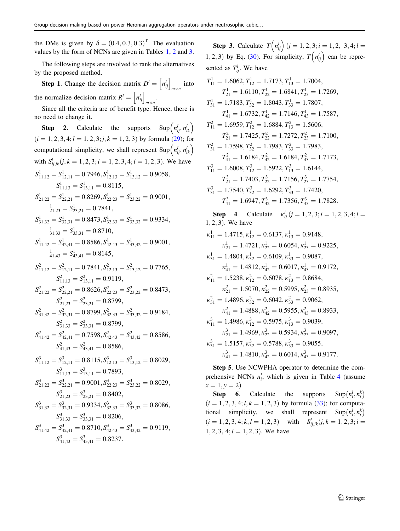the DMs is given by  $\delta = (0.4, 0.3, 0.3)^T$ . The evaluation values by the form of NCNs are given in Tables [1,](#page-20-0) [2](#page-20-0) and [3.](#page-20-0)

The following steps are involved to rank the alternatives by the proposed method.

**Step 1.** Change the decision matrix  $D^l = \left[ n_{ij}^l \right]_{m \times n}$  into the normalize decision matrix  $R^l = \left[ n_{ij}^l \right]_{m \times n}$ .

Since all the criteria are of benefit type. Hence, there is no need to change it.

**Step 2.** Calculate the supports  $\text{Sup}(n_{ij}^l, n_{ik}^l)$  $(i = 1, 2, 3, 4; l = 1, 2, 3; j, k = 1, 2, 3)$  by formula (29); for computational simplicity, we shall represent Sup $(n_{ij}^l, n_{ik}^l)$ with  $S_{ij,ik}^l(j, k = 1, 2, 3; i = 1, 2, 3, 4; l = 1, 2, 3)$ . We have  $S^1_{11,12} = S^1_{12,11} = 0.7946, S^1_{12,13} = S^1_{13,12} = 0.9058,$  $S^1_{11,13} = S^1_{13,11} = 0.8115$ ,  $S^1_{21,22} = S^1_{22,21} = 0.8269, S^1_{22,23} = S^1_{23,22} = 0.9001,$  $S^1_{21,23} = S^1_{23,21} = 0.7841,$  $S_{31,32}^1 = S_{32,31}^1 = 0.8473, S_{32,33}^1 = S_{33,32}^1 = 0.9334,$  $s_{31,33}^1 = S_{33,31}^1 = 0.8710$  $S^1_{41,42} = S^1_{42,41} = 0.8586, S^1_{42,43} = S^1_{43,42} = 0.9001,$  $s_{41,43}^1 = S_{43,41}^1 = 0.8145$  $S_{11,12}^2 = S_{12,11}^2 = 0.7841, S_{12,13}^2 = S_{13,12}^2 = 0.7765,$  $S_{11,13}^2 = S_{13,11}^2 = 0.9119$ ,  $S_{21,22}^2 = S_{22,21}^2 = 0.8626, S_{22,23}^2 = S_{23,22}^2 = 0.8473,$  $S_{21,23}^2 = S_{23,21}^2 = 0.8799,$  $S_{31,32}^2 = S_{32,31}^2 = 0.8799, S_{32,33}^2 = S_{33,32}^2 = 0.9184,$  $S_{31,33}^2 = S_{33,31}^2 = 0.8799,$  $S_{41,42}^2 = S_{42,41}^2 = 0.7598, S_{42,43}^2 = S_{43,42}^2 = 0.8586,$  $S_{41,43}^2 = S_{43,41}^2 = 0.8586,$  $S_{11,12}^3 = S_{12,11}^3 = 0.8115$ ,  $S_{12,13}^3 = S_{13,12}^3 = 0.8029$ ,  $S_{11,13}^3 = S_{13,11}^3 = 0.7893$ ,  $S_{21,22}^3 = S_{22,21}^3 = 0.9001, S_{22,23}^3 = S_{23,22}^3 = 0.8029,$  $S_{21,23}^3 = S_{23,21}^3 = 0.8402,$  $S_{31,32}^3 = S_{32,31}^3 = 0.9334, S_{32,33}^3 = S_{33,32}^3 = 0.8086,$  $S_{31,33}^3 = S_{33,31}^3 = 0.8206$ ,  $S_{41,42}^3 = S_{42,41}^3 = 0.8710, S_{42,43}^3 = S_{43,42}^3 = 0.9119,$  $S_{41,43}^3 = S_{43,41}^3 = 0.8237.$ 

**Step 3.** Calculate  $T(n_{ij}^l)$   $(j = 1, 2, 3; i = 1, 2, 3, 4; l =$ 1, 2, 3) by Eq. (30). For simplicity,  $T(n_{ij}^l)$  can be represented as  $T_{ij}^l$ . We have

$$
T_{11}^1 = 1.6062, T_{12}^1 = 1.7173, T_{13}^1 = 1.7004,
$$
  
\n
$$
T_{21}^1 = 1.6110, T_{22}^1 = 1.6841, T_{23}^1 = 1.7269,
$$
  
\n
$$
T_{31}^1 = 1.7183, T_{32}^1 = 1.8043, T_{33}^1 = 1.7807,
$$
  
\n
$$
T_{41}^1 = 1.6732, T_{42}^1 = 1.7146, T_{43}^1 = 1.7587,
$$
  
\n
$$
T_{11}^2 = 1.6959, T_{12}^2 = 1.6884, T_{13}^2 = 1.5606,
$$
  
\n
$$
T_{21}^2 = 1.7425, T_{22}^2 = 1.7272, T_{23}^2 = 1.7100,
$$
  
\n
$$
T_{31}^2 = 1.7598, T_{32}^2 = 1.7983, T_{33}^2 = 1.7983,
$$
  
\n
$$
T_{41}^2 = 1.6184, T_{42}^2 = 1.6184, T_{43}^2 = 1.7173,
$$
  
\n
$$
T_{11}^3 = 1.6008, T_{12}^3 = 1.5922, T_{13}^3 = 1.6144,
$$
  
\n
$$
T_{21}^3 = 1.7403, T_{22}^3 = 1.7156, T_{23}^3 = 1.7754,
$$
  
\n
$$
T_{31}^3 = 1.7540, T_{32}^3 = 1.6292, T_{33}^3 = 1.7420,
$$
  
\n
$$
T_{41}^3 = 1.6947, T_{42}^3 = 1.7356, T_{43}^3 = 1.7828.
$$
  
\n**Step 4.** Calculate  $\kappa_{ij}^l$  ( $j = 1, 2, 3, i = 1, 2, 3, 4; l = 1, 2,$ 

Step 5. Use NCWPHA operator to determine the comprehensive NCNs  $n_i^l$ , which is given in Table [4](#page-21-0) (assume  $x = 1, y = 2$ 

Step 6. Calculate the supports  $i<sub>i</sub>$ ,  $n_i<sub>i</sub>$  $\left( \begin{array}{cc} l & k \end{array} \right)$  $(i = 1, 2, 3, 4; l, k = 1, 2, 3)$  by formula (33); for computational simplicity, we shall represent  $\text{Sup}(n_i^l, n_i^k)$  $\begin{pmatrix} 1 & k \end{pmatrix}$  $(i = 1, 2, 3, 4; k, l = 1, 2, 3)$  with  $S_{ij, ik}^l(j, k = 1, 2, 3; i =$  $1, 2, 3, 4; l = 1, 2, 3$ . We have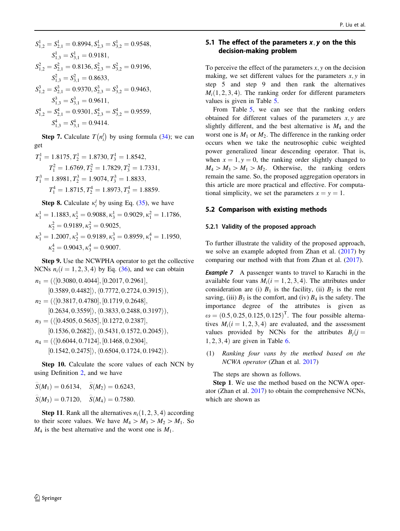<span id="page-19-0"></span>
$$
S_{1,2}^1 = S_{2,1}^1 = 0.8994, S_{2,3}^1 = S_{3,2}^1 = 0.9548,
$$
  
\n
$$
S_{1,3}^1 = S_{3,1}^1 = 0.9181,
$$
  
\n
$$
S_{1,2}^2 = S_{2,1}^2 = 0.8136, S_{2,3}^2 = S_{3,2}^2 = 0.9196,
$$
  
\n
$$
S_{1,3}^2 = S_{3,1}^2 = 0.8633,
$$
  
\n
$$
S_{1,2}^3 = S_{2,1}^3 = 0.9370, S_{2,3}^3 = S_{3,2}^3 = 0.9463,
$$
  
\n
$$
S_{1,3}^3 = S_{3,1}^3 = 0.9611,
$$
  
\n
$$
S_{1,2}^4 = S_{2,1}^4 = 0.9301, S_{2,3}^4 = S_{3,2}^4 = 0.9559,
$$
  
\n
$$
S_{1,3}^4 = S_{3,1}^4 = 0.9414.
$$

**Step 7.** Calculate  $T(n_i^l)$  by using formula (34); we can get

$$
T_1^1 = 1.8175, T_2^1 = 1.8730, T_3^1 = 1.8542,
$$
  
\n
$$
T_1^2 = 1.6769, T_2^2 = 1.7829, T_3^2 = 1.7331,
$$
  
\n
$$
T_1^3 = 1.8981, T_2^3 = 1.9074, T_3^3 = 1.8833,
$$
  
\n
$$
T_1^4 = 1.8715, T_2^4 = 1.8973, T_3^4 = 1.8859.
$$

**Step 8.** Calculate  $\kappa_i^l$  by using Eq. (35), we have  $\kappa_1^1 = 1.1883, \kappa_2^1 = 0.9088, \kappa_3^1 = 0.9029, \kappa_1^2 = 1.1786,$  $\kappa_2^2 = 0.9189, \kappa_3^2 = 0.9025,$  $\kappa_1^3 = 1.2007, \kappa_2^3 = 0.9189, \kappa_3^3 = 0.8959, \kappa_1^4 = 1.1950,$  $\kappa_2^4 = 0.9043, \kappa_3^4 = 0.9007.$ 

Step 9. Use the NCWPHA operator to get the collective NCNs  $n_i (i = 1, 2, 3, 4)$  by Eq. (36), and we can obtain

 $n_1 = (\langle [0.3080, 0.4044], [0.2017, 0.2961],$  $[0.3589, 0.4482] \rangle$ ,  $(0.7772, 0.2724, 0.3915)$ ,  $n_2$  = ( $\langle$ [0.3817, 0.4780], [0.1719, 0.2648],  $[0.2634, 0.3559] \rangle$ ,  $\langle 0.3833, 0.2488, 0.3197 \rangle$ ,  $n_3 = (\langle [0.4505, 0.5635], [0.1272, 0.2387],$  $[0.1536, 0.2682] \rangle$ ,  $\langle 0.5431, 0.1572, 0.2045 \rangle$ ,  $n_4 = (\langle [0.6044, 0.7124], [0.1468, 0.2304],$  $[0.1542, 0.2475] \rangle, \langle 0.6504, 0.1724, 0.1942 \rangle).$ 

Step 10. Calculate the score values of each NCN by using Definition [2,](#page-3-0) and we have

$$
\hat{S}(M_1) = 0.6134
$$
,  $\hat{S}(M_2) = 0.6243$ ,  
\n $\hat{S}(M_3) = 0.7120$ ,  $\hat{S}(M_4) = 0.7580$ .

**Step 11.** Rank all the alternatives  $n_i(1, 2, 3, 4)$  according to their score values. We have  $M_4 > M_3 > M_2 > M_1$ . So  $M_4$  is the best alternative and the worst one is  $M_1$ .

## 5.1 The effect of the parameters  $x, y$  on the this decision-making problem

To perceive the effect of the parameters  $x, y$  on the decision making, we set different values for the parameters  $x, y$  in step 5 and step 9 and then rank the alternatives  $M_i(1, 2, 3, 4)$ . The ranking order for different parameters values is given in Table [5.](#page-22-0)

From Table [5,](#page-22-0) we can see that the ranking orders obtained for different values of the parameters  $x, y$  are slightly different, and the best alternative is  $M_4$  and the worst one is  $M_1$  or  $M_2$ . The difference in the ranking order occurs when we take the neutrosophic cubic weighted power generalized linear descending operator. That is, when  $x = 1, y = 0$ , the ranking order slightly changed to  $M_4 > M_3 > M_1 > M_2$ . Otherwise, the ranking orders remain the same. So, the proposed aggregation operators in this article are more practical and effective. For computational simplicity, we set the parameters  $x = y = 1$ .

### 5.2 Comparison with existing methods

#### 5.2.1 Validity of the proposed approach

To further illustrate the validity of the proposed approach, we solve an example adopted from Zhan et al. [\(2017](#page-26-0)) by comparing our method with that from Zhan et al. ([2017](#page-26-0)).

**Example 7** A passenger wants to travel to Karachi in the available four vans  $M_i$  ( $i = 1, 2, 3, 4$ ). The attributes under consideration are (i)  $B_1$  is the facility, (ii)  $B_2$  is the rent saving, (iii)  $B_3$  is the comfort, and (iv)  $B_4$  is the safety. The importance degree of the attributes is given as  $\omega = (0.5, 0.25, 0.125, 0.125)^T$ . The four possible alternatives  $M_i(i = 1, 2, 3, 4)$  are evaluated, and the assessment values provided by NCNs for the attributes  $B_i$  (j =  $1, 2, 3, 4$  are given in Table [6.](#page-23-0)

(1) Ranking four vans by the method based on the NCWA operator (Zhan et al. [2017](#page-26-0))

The steps are shown as follows.

Step 1. We use the method based on the NCWA operator (Zhan et al. [2017\)](#page-26-0) to obtain the comprehensive NCNs, which are shown as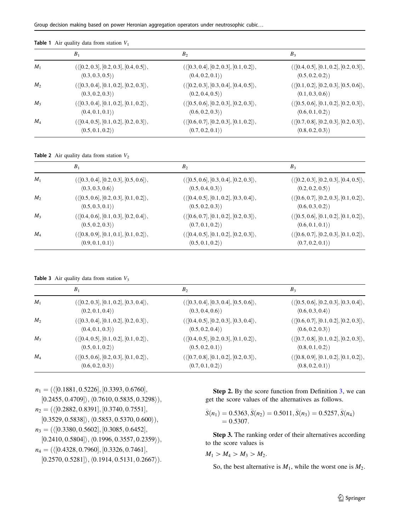|       | B <sub>1</sub>                                           | B <sub>2</sub>                                           | $B_3$                                                  |
|-------|----------------------------------------------------------|----------------------------------------------------------|--------------------------------------------------------|
| $M_1$ | $(\langle [0.2, 0.3], [0.2, 0.3], [0.4, 0.5] \rangle,$   | $(\langle [0.3, 0.4], [0.2, 0.3], [0.1, 0.2] \rangle,$   | $(\langle [0.4, 0.5], [0.1, 0.2], [0.2, 0.3] \rangle,$ |
|       | (0.3, 0.3, 0.5)                                          | $\langle 0.4, 0.2, 0.1 \rangle$                          | $\langle 0.5, 0.2, 0.2 \rangle$                        |
| $M_2$ | $({\langle [0.3, 0.4], [0.1, 0.2], [0.2, 0.3] \rangle},$ | $({\langle [0.2, 0.3], [0.3, 0.4], [0.4, 0.5] \rangle},$ | $(\langle [0.1, 0.2], [0.2, 0.3], [0.5, 0.6] \rangle,$ |
|       | $\langle 0.3, 0.2, 0.3 \rangle$                          | $\langle 0.2, 0.4, 0.5 \rangle$                          | $\langle 0.1, 0.3, 0.6 \rangle$                        |
| $M_3$ | $(\langle [0.3, 0.4], [0.1, 0.2], [0.1, 0.2] \rangle,$   | $(\langle [0.5, 0.6], [0.2, 0.3], [0.2, 0.3] \rangle,$   | $(\langle [0.5, 0.6], [0.1, 0.2], [0.2, 0.3] \rangle,$ |
|       | (0.4, 0.1, 0.1)                                          | (0.6, 0.2, 0.3)                                          | $\langle 0.6, 0.1, 0.2 \rangle$                        |
| $M_4$ | $(\langle [0.4, 0.5], [0.1, 0.2], [0.2, 0.3] \rangle,$   | $(\langle [0.6, 0.7], [0.2, 0.3], [0.1, 0.2] \rangle,$   | $(\langle [0.7, 0.8], [0.2, 0.3], [0.2, 0.3] \rangle,$ |
|       | $\langle 0.5, 0.1, 0.2 \rangle$                          | $\langle 0.7, 0.2, 0.1 \rangle$                          | (0.8, 0.2, 0.3)                                        |

<span id="page-20-0"></span>**Table 1** Air quality data from station  $V_1$ 

**Table 2** Air quality data from station  $V_2$ 

|                | B <sub>1</sub>                                           | B <sub>2</sub>                                         | $B_3$                                                    |
|----------------|----------------------------------------------------------|--------------------------------------------------------|----------------------------------------------------------|
| $M_1$          | $({\langle [0.3, 0.4], [0.2, 0.3], [0.5, 0.6] \rangle},$ | $(\langle [0.5, 0.6], [0.3, 0.4], [0.2, 0.3] \rangle,$ | $({\langle [0.2, 0.3], [0.2, 0.3], [0.4, 0.5] \rangle},$ |
|                | $\langle 0.3, 0.3, 0.6 \rangle$                          | $\langle 0.5, 0.4, 0.3 \rangle$                        | $\langle 0.2, 0.2, 0.5 \rangle$                          |
| M <sub>2</sub> | $(\langle [0.5, 0.6], [0.2, 0.3], [0.1, 0.2] \rangle,$   | $(\langle [0.4, 0.5], [0.1, 0.2], [0.3, 0.4] \rangle,$ | $(\langle [0.6, 0.7], [0.2, 0.3], [0.1, 0.2] \rangle,$   |
|                | (0.5, 0.3, 0.1)                                          | $\langle 0.5, 0.2, 0.3 \rangle$                        | $\langle 0.6, 0.3, 0.2 \rangle$                          |
| $M_3$          | $(\langle [0.4, 0.6], [0.1, 0.3], [0.2, 0.4] \rangle,$   | $(\langle [0.6, 0.7], [0.1, 0.2], [0.2, 0.3] \rangle,$ | $(\langle [0.5, 0.6], [0.1, 0.2], [0.1, 0.2] \rangle,$   |
|                | $\langle 0.5, 0.2, 0.3 \rangle$                          | $\langle 0.7, 0.1, 0.2 \rangle$                        | (0.6, 0.1, 0.1)                                          |
| $M_4$          | $(\langle [0.8, 0.9], [0.1, 0.1], [0.1, 0.2] \rangle,$   | $(\langle [0.4, 0.5], [0.1, 0.2], [0.2, 0.3] \rangle,$ | $(\langle [0.6, 0.7], [0.2, 0.3], [0.1, 0.2] \rangle,$   |
|                | (0.9, 0.1, 0.1)                                          | $\langle 0.5, 0.1, 0.2 \rangle$                        | $\langle 0.7, 0.2, 0.1 \rangle$                          |

**Table 3** Air quality data from station  $V_3$ 

|       | $B_1$                                                    | B <sub>2</sub>                                         | $B_3$                                                  |
|-------|----------------------------------------------------------|--------------------------------------------------------|--------------------------------------------------------|
| $M_1$ | $({\langle [0.2, 0.3], [0.1, 0.2], [0.3, 0.4] \rangle},$ | $(\langle [0.3, 0.4], [0.3, 0.4], [0.5, 0.6] \rangle,$ | $(\langle [0.5, 0.6], [0.2, 0.3], [0.3, 0.4] \rangle,$ |
|       | $\langle 0.2, 0.1, 0.4 \rangle$                          | $\langle 0.3, 0.4, 0.6 \rangle$                        | $\langle 0.6, 0.3, 0.4 \rangle$                        |
| $M_2$ | $({\langle [0.3, 0.4], [0.1, 0.2], [0.2, 0.3] \rangle},$ | $(\langle [0.4, 0.5], [0.2, 0.3], [0.3, 0.4] \rangle,$ | $(\langle [0.6, 0.7], [0.1, 0.2], [0.2, 0.3] \rangle,$ |
|       | (0.4, 0.1, 0.3)                                          | (0.5, 0.2, 0.4)                                        | (0.6, 0.2, 0.3)                                        |
| $M_3$ | $(\langle [0.4, 0.5], [0.1, 0.2], [0.1, 0.2] \rangle,$   | $(\langle [0.4, 0.5], [0.2, 0.3], [0.1, 0.2] \rangle,$ | $(\langle [0.7, 0.8], [0.1, 0.2], [0.2, 0.3] \rangle,$ |
|       | (0.5, 0.1, 0.2)                                          | $\langle 0.5, 0.2, 0.1 \rangle$                        | (0.8, 0.1, 0.2)                                        |
| $M_4$ | $(\langle [0.5, 0.6], [0.2, 0.3], [0.1, 0.2] \rangle,$   | $(\langle [0.7, 0.8], [0.1, 0.2], [0.2, 0.3] \rangle,$ | $(\langle [0.8, 0.9], [0.1, 0.2], [0.1, 0.2] \rangle,$ |
|       | $\langle 0.6, 0.2, 0.3 \rangle$                          | $\langle 0.7, 0.1, 0.2 \rangle$                        | (0.8, 0.2, 0.1)                                        |

 $n_1 = (\langle [0.1881, 0.5226], [0.3393, 0.6760],$ 

 $[0.2455, 0.4709] \rangle$ ,  $\langle 0.7610, 0.5835, 0.3298 \rangle$ ,

 $n_2$  = ( $\langle$ [0.2882, 0.8391], [0.3740, 0.7551],

- $[0.3529, 0.5838] \rangle$ ,  $\langle 0.5853, 0.5370, 0.600 \rangle$ ,
- $n_3 = (\langle [0.3380, 0.5602], [0.3085, 0.6452],$
- $[0.2410, 0.5804] \rangle, \langle 0.1996, 0.3557, 0.2359 \rangle),$

 $n_4 = (\langle [0.4328, 0.7960], [0.3326, 0.7461],$ 

 $[0.2570, 0.5281] \rangle$ ,  $\langle 0.1914, 0.5131, 0.2667 \rangle$ .

Step 2. By the score function from Definition [3](#page-4-0), we can get the score values of the alternatives as follows.

$$
\begin{aligned} \widehat{S}(n_1) &= 0.5363, \widehat{S}(n_2) = 0.5011, \widehat{S}(n_3) = 0.5257, \widehat{S}(n_4) \\ &= 0.5307. \end{aligned}
$$

Step 3. The ranking order of their alternatives according to the score values is

$$
M_1 > M_4 > M_3 > M_2.
$$

So, the best alternative is  $M_1$ , while the worst one is  $M_2$ .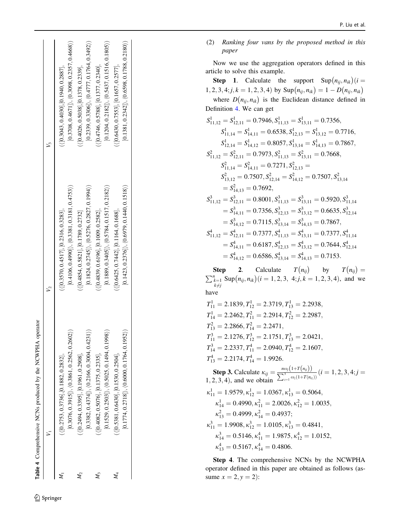<span id="page-21-0"></span>

|                | $[0.3076, 0.3915]\rangle, \langle 0.3861, 0.2562, 0.2602\rangle)$                           | $[0.4106, 0.4990]), (0.3381, 0.3181, 0.4753)$                                              | $[0.3708, 0.4671] \rangle, \langle 0.3098, 0.2357, 0.4668 \rangle)$                      |
|----------------|---------------------------------------------------------------------------------------------|--------------------------------------------------------------------------------------------|------------------------------------------------------------------------------------------|
|                | $(\langle [0.2753, 0.3736], [0.1882, 0.2832],$                                              | $(\langle [0.3570, 0.4517], [0.2316, 0.3283],$                                             | $\left(\left[0.3043, 0.4030\right], \left[0.1940, 0.2887\right],\right.$                 |
| M,             | $[0.3382, 0.4374]), (0.2166, 0.3004, 0.4231)$                                               | $[0.1824, 0.2745]$ , $(0.5276, 0.2827, 0.1994)$                                            | $[0.2339, 0.3306]$ , $\langle 0.4777, 0.1764, 0.3492 \rangle$                            |
|                | $\left[\left( 0.2494, 0.3395\right], \left[0.1961, 0.2908\right], \right.$                  | $\left( \left\langle \left[ 0.4854, 0.5821 \right], \left[ 0.1789, 0.2732 \right] \right.$ | $\frac{1}{2}$ (0.4026, 0.5038], [0.1378, 0.2339],                                        |
| M <sub>2</sub> | $[0.1529, 0.2503] \rangle, \langle 0.5025, 0.1494, 0.1998 \rangle)$                         | $[0.1889, 0.3405]$ , $(0.5784, 0.1517, 0.2182)$                                            | $[0.1204, 0.2182]$ , $\langle 0.5437, 0.1516, 0.1805 \rangle$ )                          |
|                | $\left( \left\langle \left[ 0.4082, 0.5076 \right], \left[ 0.1375, 0.2335 \right], \right.$ | $\left( \langle [0.4839, 0.6196], [0.1009, 0.2582], \right.$                               | $\left(\left\{ \left[0.4746, 0.5788\right], \left[0.1377, 0.2340\right], \right.\right)$ |
|                | $[0.1774, 0.2718]), (0.6000, 0.1764, 0.1952)$                                               | $[0.1423, 0.2376]\rangle, \langle 0.6979, 0.1440, 0.1518\rangle)$                          | $[0.1381, 0.2342]$ , $\langle 0.6598, 0.1788, 0.2180 \rangle$ )                          |
|                | $\langle [0.5381, 0.6430], [0.1530, 0.2504],$                                               | $(\{$ [0.6425, 0.7442], $[$ 0.1164, 0.1688],                                               | $\langle$ [0.6430, 0.7553], [0.1657, 0.2577],                                            |

(2) Ranking four vans by the proposed method in this paper

Now we use the aggregation operators defined in this article to solve this example.

**Step 1.** Calculate the support  $\text{Sup}(n_{ij}, n_{ik})$  (*i* = 1, 2, 3, 4; j, k = 1, 2, 3, 4) by Sup $(n_{ij}, n_{ik}) = 1 - D(n_{ij}, n_{ik})$ where  $D(n_{ij}, n_{ik})$  is the Euclidean distance defined in Definition [4](#page-4-0). We can get

$$
S_{11,12}^1 = S_{12,11}^1 = 0.7946, S_{11,13}^1 = S_{13,11}^1 = 0.7356,
$$
  
\n
$$
S_{11,14}^1 = S_{14,11}^1 = 0.6538, S_{12,13}^1 = S_{13,12}^1 = 0.7716,
$$
  
\n
$$
S_{12,14}^1 = S_{14,12}^1 = 0.8057, S_{13,14}^1 = S_{14,13}^1 = 0.7867,
$$
  
\n
$$
S_{11,12}^2 = S_{12,11}^2 = 0.7973, S_{11,13}^2 = S_{13,11}^2 = 0.7668,
$$
  
\n
$$
S_{11,14}^2 = S_{14,11}^2 = 0.7271, S_{12,13}^2 =
$$
  
\n
$$
S_{13,12}^2 = 0.7507, S_{12,14}^2 = S_{14,12}^2 = 0.7507, S_{13,14}^2 =
$$
  
\n
$$
S_{11,12}^3 = S_{12,11}^3 = 0.8001, S_{11,13}^3 = S_{13,11}^3 = 0.5920, S_{11,14}^3 =
$$
  
\n
$$
S_{14,11}^3 = 0.7356, S_{12,13}^3 = S_{13,12}^3 = 0.6635, S_{12,14}^3 =
$$
  
\n
$$
S_{14,12}^3 = 0.7115, S_{13,14}^3 = S_{14,13}^3 = 0.7867,
$$
  
\n
$$
S_{11,12}^4 = S_{12,11}^4 = 0.7377, S_{11,13}^4 = S_{13,11}^4 = 0.7377, S_{11,14}^4 =
$$
  
\n
$$
S_{14,11}^4 = 0.6187, S_{12,13}^4 = S_{13,12}^4 = 0.7644, S_{1
$$

**Step 2.** Calculate  $T(n_{ij})$  by  $T(n_{ij})$ <br>  $\sum_{\substack{k=1 \ k \neq j}}^{n} \text{Sup}(n_{ij}, n_{ik}) (i = 1, 2, 3, 4; j, k = 1, 2, 3, 4)$ , and  $T(n_{ij}) =$  $\text{Sup}(n_{ij}, n_{ik})$   $(i = 1, 2, 3, 4; j, k = 1, 2, 3, 4)$ , and we have

$$
T_{11}^1 = 2.1839, T_{12}^1 = 2.3719, T_{13}^1 = 2.2938,
$$
  
\n
$$
T_{14}^1 = 2.2462, T_{11}^2 = 2.2914, T_{12}^2 = 2.2987,
$$
  
\n
$$
T_{13}^2 = 2.2866, T_{14}^2 = 2.2471,
$$
  
\n
$$
T_{11}^3 = 2.1276, T_{12}^3 = 2.1751, T_{13}^3 = 2.0421,
$$
  
\n
$$
T_{14}^3 = 2.2337, T_{11}^4 = 2.0940, T_{12}^4 = 2.1607,
$$
  
\n
$$
T_{13}^4 = 2.2174, T_{14}^4 = 1.9926.
$$
  
\n**Step 3.** Calculate  $\kappa_{ij} = \frac{n\omega_j(1+T(n_{ij}))}{\sum_{z=1}^{3} \omega_z(1+T(n_{iz}))} (i = 1, 2, 3, 4; j = 1, 2, 3, 4),$  and we obtain  $\sum_{z=1}^{3} \omega_z(1+T(n_{iz}))$   
\n
$$
\kappa_{11}^1 = 1.9579, \kappa_{12}^1 = 1.0367, \kappa_{13}^1 = 0.5064,
$$
  
\n
$$
\kappa_{14}^1 = 0.4990, \kappa_{11}^2 = 2.0026, \kappa_{12}^2 = 1.0035,
$$
  
\n
$$
\kappa_{13}^2 = 0.4999, \kappa_{14}^2 = 0.4937;
$$
  
\n
$$
\kappa_{11}^3 = 1.9908, \kappa_{12}^3 = 1.0105, \kappa_{13}^3 = 0.4841,
$$

$$
\kappa_{14}^3 = 0.5146, \kappa_{11}^4 = 1.9875, \kappa_{12}^4 = 1.0152, \n\kappa_{13}^4 = 0.5167, \kappa_{14}^4 = 0.4806.
$$

Step 4. The comprehensive NCNs by the NCWPHA operator defined in this paper are obtained as follows (assume  $x = 2, y = 2$ :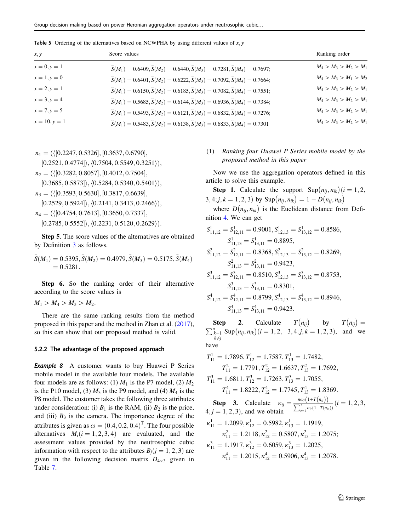<span id="page-22-0"></span>**Table 5** Ordering of the alternatives based on NCWPHA by using different values of  $x, y$ 

| x, y            | Score values                                                                                  | Ranking order           |
|-----------------|-----------------------------------------------------------------------------------------------|-------------------------|
| $x = 0, y = 1$  | $\hat{S}(M_1) = 0.6409, \hat{S}(M_2) = 0.6440, \hat{S}(M_3) = 0.7281, \hat{S}(M_4) = 0.7697;$ | $M_4 > M_3 > M_2 > M_1$ |
| $x = 1, y = 0$  | $\hat{S}(M_1) = 0.6401, \hat{S}(M_2) = 0.6222, \hat{S}(M_3) = 0.7092, \hat{S}(M_4) = 0.7664;$ | $M_4 > M_3 > M_1 > M_2$ |
| $x = 2, y = 1$  | $\hat{S}(M_1) = 0.6150, \hat{S}(M_2) = 0.6185, \hat{S}(M_3) = 0.7082, \hat{S}(M_4) = 0.7551;$ | $M_4 > M_3 > M_2 > M_1$ |
| $x = 3, y = 4$  | $\hat{S}(M_1) = 0.5685, \hat{S}(M_2) = 0.6144, \hat{S}(M_3) = 0.6936, \hat{S}(M_4) = 0.7384;$ | $M_4 > M_3 > M_2 > M_1$ |
| $x = 7, y = 5$  | $\hat{S}(M_1) = 0.5493, \hat{S}(M_2) = 0.6121, \hat{S}(M_3) = 0.6832, \hat{S}(M_4) = 0.7276;$ | $M_4 > M_3 > M_2 > M_1$ |
| $x = 10, y = 1$ | $\hat{S}(M_1) = 0.5483, \hat{S}(M_2) = 0.6138, \hat{S}(M_3) = 0.6833, \hat{S}(M_4) = 0.7301$  | $M_4 > M_3 > M_2 > M_1$ |

 $n_1 = (\langle [0.2247, 0.5326], [0.3637, 0.6790],$ 

 $[0.2521, 0.4774] \rangle$ ,  $\langle 0.7504, 0.5549, 0.3251 \rangle$ ,  $n_2$  = ( $\langle$ [0.3282, 0.8057], [0.4012, 0.7504],  $[0.3685, 0.5873] \rangle, \langle 0.5284, 0.5340, 0.5401 \rangle),$  $n_3 = (\langle [0.3593, 0.5630], [0.3817, 0.6639],$  $[0.2529, 0.5924] \rangle$ ,  $\langle 0.2141, 0.3413, 0.2466 \rangle$ ,  $n_4 = (\langle [0.4754, 0.7613], [0.3650, 0.7337],$  $[0.2785, 0.5552] \rangle, \langle 0.2231, 0.5120, 0.2629 \rangle).$ 

Step 5. The score values of the alternatives are obtained by Definition [3](#page-4-0) as follows.

$$
\widehat{S}(M_1) = 0.5395, \widehat{S}(M_2) = 0.4979, \widehat{S}(M_3) = 0.5175, \widehat{S}(M_4) = 0.5281.
$$

Step 6. So the ranking order of their alternative according to the score values is

$$
M_1 > M_4 > M_3 > M_2.
$$

There are the same ranking results from the method proposed in this paper and the method in Zhan et al. [\(2017](#page-26-0)), so this can show that our proposed method is valid.

#### 5.2.2 The advantage of the proposed approach

Example 8 A customer wants to buy Huawei P Series mobile model in the available four models. The available four models are as follows: (1)  $M_1$  is the P7 model, (2)  $M_2$ is the P10 model, (3)  $M_3$  is the P9 model, and (4)  $M_4$  is the P8 model. The customer takes the following three attributes under consideration: (i)  $B_1$  is the RAM, (ii)  $B_2$  is the price, and (iii)  $B_3$  is the camera. The importance degree of the attributes is given as  $\omega = (0.4, 0.2, 0.4)^T$ . The four possible alternatives  $M_i(i = 1, 2, 3, 4)$  are evaluated, and the assessment values provided by the neutrosophic cubic information with respect to the attributes  $B_i$  ( $j = 1, 2, 3$ ) are given in the following decision matrix  $D_{4\times3}$  given in Table [7](#page-23-0).

### (1) Ranking four Huawei P Series mobile model by the proposed method in this paper

Now we use the aggregation operators defined in this article to solve this example.

**Step 1.** Calculate the support  $\text{Sup}(n_{ii}, n_{ik})$  (*i* = 1, 2, 3, 4; j,  $k = 1, 2, 3$  by  $\text{Sup}(n_{ij}, n_{ik}) = 1 - D(n_{ij}, n_{ik})$ 

where  $D(n_{ij}, n_{ik})$  is the Euclidean distance from Definition [4.](#page-4-0) We can get

$$
S_{11,12}^1 = S_{12,11}^1 = 0.9001, S_{12,13}^1 = S_{13,12}^1 = 0.8586,
$$
  
\n
$$
S_{11,13}^1 = S_{13,11}^1 = 0.8895,
$$
  
\n
$$
S_{11,12}^2 = S_{12,11}^2 = 0.8368, S_{12,13}^2 = S_{13,12}^2 = 0.8269,
$$
  
\n
$$
S_{11,13}^2 = S_{13,11}^2 = 0.9423,
$$
  
\n
$$
S_{11,12}^3 = S_{12,11}^3 = 0.8510, S_{12,13}^3 = S_{13,12}^3 = 0.8753,
$$
  
\n
$$
S_{11,13}^3 = S_{13,11}^3 = 0.8301,
$$
  
\n
$$
S_{11,12}^4 = S_{12,11}^4 = 0.8799, S_{12,13}^4 = S_{13,12}^4 = 0.8946,
$$
  
\n
$$
S_{11,13}^4 = S_{13,11}^4 = 0.9423.
$$

**Step 2.** Calculate  $T(n_{ij})$  by  $T(n_{ij}) = \sum_{k=1}^{n} \text{Sup}(n_{ij}, n_{ik})(i = 1, 2, 3, 4; j, k = 1, 2, 3)$ , and we  $k\neq j$ have

$$
T_{11}^1 = 1.7896, T_{12}^1 = 1.7587, T_{13}^1 = 1.7482,
$$
  
\n
$$
T_{11}^2 = 1.7791, T_{12}^2 = 1.6637, T_{13}^2 = 1.7692,
$$
  
\n
$$
T_{11}^3 = 1.6811, T_{12}^3 = 1.7263, T_{13}^3 = 1.7055,
$$
  
\n
$$
T_{11}^4 = 1.8222, T_{12}^4 = 1.7745, T_{13}^4 = 1.8369.
$$
  
\n**Step 3.** Calculate  $\kappa_{ij} = \frac{n\omega_j(1+T(n_{ij}))}{\sum_{z=1}^{3}\omega_z(1+T(n_{iz}))}$  ( $i = 1, 2, 3, 4; j = 1, 2, 3$ ), and we obtain  
\n
$$
\kappa_{11}^1 = 1.2099, \kappa_{12}^1 = 0.5982, \kappa_{13}^1 = 1.1919,
$$
  
\n
$$
\kappa_{11}^2 = 1.2118, \kappa_{12}^2 = 0.5807, \kappa_{13}^2 = 1.2075;
$$
  
\n
$$
\kappa_{11}^3 = 1.1917, \kappa_{12}^3 = 0.6059, \kappa_{13}^3 = 1.2025,
$$
  
\n
$$
\kappa_{11}^4 = 1.2015, \kappa_{12}^4 = 0.5906, \kappa_{13}^4 = 1.2078.
$$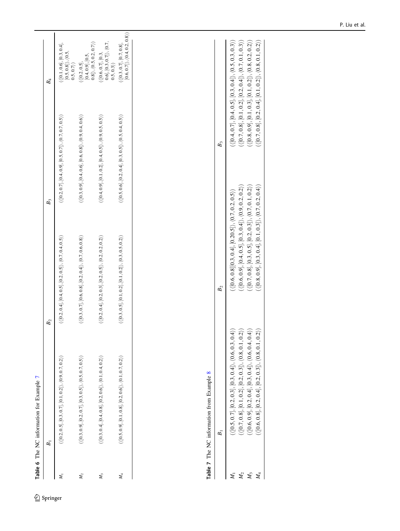<span id="page-23-0"></span>

| $\left(\langle [0.2, 0.4], [0.4, 0.5], [0.2, 0.5]\rangle, \langle 0.7, 0.4, 0.5\rangle\right)$<br>B <sub>2</sub> | $B_3$                                                                                          | $B_4$                                                                                      |
|------------------------------------------------------------------------------------------------------------------|------------------------------------------------------------------------------------------------|--------------------------------------------------------------------------------------------|
|                                                                                                                  | $(\langle [0.2, 0.7], [0.4, 0.9], [0.5, 0.7]\rangle, \langle 0.7, 0.7, 0.5\rangle)$            | $\langle ([0.1, 0.6], [0.3, 0.4],$<br>$[0.5, 0.8] \rangle$ , $\langle 0.5,$<br>0.5, 0.7)   |
| $\left(\{ [0.3, 0.7], [0.6, 0.8], [0.2, 0.4] \right), \langle 0.7, 0.6, 0.8 \rangle \right)$                     | $\left(\langle [0.3, 0.9], [0.4, 0.6], [0.6, 0.8]\rangle, \langle 0.9, 0.4, 0.6\rangle\right)$ | $\langle ([0.2, 0.5],$<br>$[0.4, 0.9], [0.5,$<br>0.8), $\langle 0.5, 0.2, 0.7 \rangle$     |
| $\left(\{ [0.2, 0.4], [0.2, 0.3], [0.2, 0.5] \right), \{ 0.2, 0.2, 0.2, 0.2 \} \right)$                          | $\left(\langle [0.4, 0.9], [0.1, 0.2], [0.4, 0.5]\rangle, \langle 0.9, 0.5, 0.5\rangle\right)$ | $\langle \langle [0.6, 0.7], [0.3, 0.7], 0.3, 0.7], \langle 0.7, 0.3, 0.3 \rangle \rangle$ |
| $(\langle [0.3, 0.5], [0.1, 0.2], [0.1, 0.2] \rangle, \langle 0.3, 0.5, 0.2 \rangle)$                            | $(\langle [0.5, 0.6], [0.2, 0.4], [0.3, 0.5] \rangle, \langle 0.5, 0.4, 0.5 \rangle)$          | $\begin{array}{l} (\{[0.3,0.7],[0.7,0.8]},\ [0.6,0.7]),\ \{0.4,0.2,0.8)\} \end{array}$     |
|                                                                                                                  |                                                                                                |                                                                                            |

 $\underline{\textcircled{\tiny 2}}$  Springer

|                                                                                                       | $B_2$                                                                                                                                       | $B_3$                                                                                |
|-------------------------------------------------------------------------------------------------------|---------------------------------------------------------------------------------------------------------------------------------------------|--------------------------------------------------------------------------------------|
| $\langle [0.5, 0.7], [0.2, 0.3], [0.3, 0.4] \rangle, \langle 0.6, 0.3, 0.3 \rangle$                   | $\langle [0.6, 0.8] [0.3, 0.4], [0.20.5] \rangle, \langle 0.7, 0.2, 0.5 \rangle \rangle$                                                    | $\{ [0.4, 0.7], [0.4, 0.5], [0.3, 0.4] \}, \langle 0.5, 0.3, 0.3 \rangle \}$         |
| (2)<br>$\langle [0.7, 0.8], [0.1, 0.2], [0.2, 0.3] \rangle, \langle 0.8, 0.1, 0.1 \rangle$            | $\{ [0.6, 0.9], [0.4, 0.5], [0.3, 0.4] \rangle, \langle 0.9, 0.2, 0.2 \rangle \}$                                                           | $\langle [0.7, 0.8], [0.1, 0.2], [0.2, 0.4] \rangle, \langle 0.7, 0.1, 0.3 \rangle)$ |
| $\langle [0.6, 0.9], [0.2, 0.4], [0.3, 0.4] \rangle, \langle 0.6, 0.4, 0.4 \rangle$                   | $\left( \{ [0.7, 0.8], [0.3, 0.5], [0.2, 0.3] \right), \{ 0.7, 0.1, 0.2 \} \right)$                                                         | $\{ [0.8, 0.9], [0.1, 0.3], [0.1, 0.2] \}, \langle 0.8, 0.2, 0.2 \rangle \}$         |
| $\widehat{2})$<br>$\langle [0.6, 0.8], [0.2, 0.4], [0.2, 0.3] \rangle, \langle 0.8, 0.1, 0.1 \rangle$ | $\left\langle\left\{ 0.8,0.9\right],\left[0.3,0.4\right],\left[0.1,0.3\right]\right\rangle, \left\langle 0.7,0.2,0.4\right\rangle \right\}$ | $\langle [0.7, 0.8], [0.2, 0.4], [0.1, 0.2] \rangle, \langle 0.8, 0.1, 0.2 \rangle)$ |
|                                                                                                       |                                                                                                                                             |                                                                                      |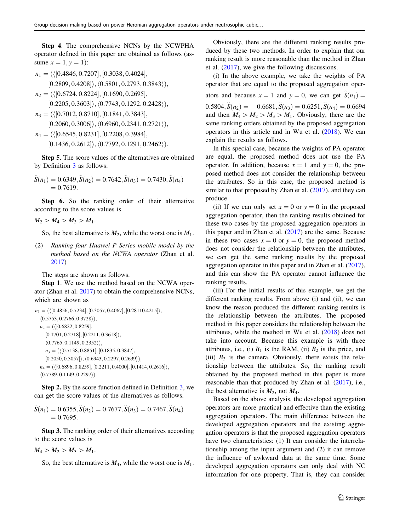Step 4. The comprehensive NCNs by the NCWPHA operator defined in this paper are obtained as follows (assume  $x = 1, y = 1$ :

$$
n_1 = (\langle [0.4846, 0.7207], [0.3038, 0.4024],
$$

 $[0.2809, 0.4208] \rangle$ ,  $\langle 0.5801, 0.2793, 0.3843 \rangle$ ,

$$
n_2 = (\langle [0.6724, 0.8224], [0.1690, 0.2695],
$$

 $[0.2205, 0.3603] \rangle$ ,  $\langle 0.7743, 0.1292, 0.2428 \rangle$ ,

$$
n_3 = \left( \langle [0.7012, 0.8710], [0.1841, 0.3843], \right.
$$

$$
[0.2060, 0.3006]\rangle, \langle 0.6960, 0.2341, 0.2721\rangle),
$$

$$
n_4 = (\langle [0.6545, 0.8231], [0.2208, 0.3984], [0.1436, 0.2612] \rangle, \langle 0.7792, 0.1291, 0.2462 \rangle).
$$

Step 5. The score values of the alternatives are obtained by Definition [3](#page-4-0) as follows:

$$
\widehat{S}(n_1) = 0.6349, \widehat{S}(n_2) = 0.7642, \widehat{S}(n_3) = 0.7430, \widehat{S}(n_4) = 0.7619.
$$

Step 6. So the ranking order of their alternative according to the score values is

$$
M_2 > M_4 > M_3 > M_1.
$$

So, the best alternative is  $M_2$ , while the worst one is  $M_1$ .

(2) Ranking four Huawei P Series mobile model by the method based on the NCWA operator (Zhan et al. [2017\)](#page-26-0)

The steps are shown as follows.

Step 1. We use the method based on the NCWA operator (Zhan et al. [2017\)](#page-26-0) to obtain the comprehensive NCNs, which are shown as

 $n_1 = (\langle [0.4856, 0.7234], [0.3057, 0.4067], [0.28110.4215] \rangle,$  $(0.5753, 0.2766, 0.3728)$ ,  $n_2$  = ( $\langle$ [0.6822, 0.8259],  $[0.1701, 0.2718], [0.2211, 0.3618]$ ,  $(0.7765, 0.1149, 0.2352)$ ,  $n_3 = (\langle [0.7138, 0.8851], [0.1835, 0.3847],$  $[0.2050, 0.3057] \rangle$ ,  $\langle 0.6943, 0.2297, 0.2639 \rangle$ ,  $n_4 = (\langle [0.6896, 0.8259], [0.2211, 0.4000], [0.1414, 0.2616] \rangle,$  $(0.7789, 0.1149, 0.2297)$ .

Step 2. By the score function defined in Definition [3](#page-4-0), we can get the score values of the alternatives as follows.

$$
\widehat{S}(n_1) = 0.6355, \widehat{S}(n_2) = 0.7677, \widehat{S}(n_3) = 0.7467, \widehat{S}(n_4) \n= 0.7695.
$$

Step 3. The ranking order of their alternatives according to the score values is

$$
M_4 > M_2 > M_3 > M_1.
$$

So, the best alternative is  $M_4$ , while the worst one is  $M_1$ .

Obviously, there are the different ranking results produced by these two methods. In order to explain that our ranking result is more reasonable than the method in Zhan et al. [\(2017](#page-26-0)), we give the following discussions.

(i) In the above example, we take the weights of PA operator that are equal to the proposed aggregation operators and because  $x = 1$  and  $y = 0$ , we can get  $\hat{S}(n_1) =$  $0.5804, \hat{S}(n_2) = 0.6681, \hat{S}(n_3) = 0.6251, \hat{S}(n_4) = 0.6694$ and then  $M_4 > M_2 > M_3 > M_1$ . Obviously, there are the same ranking orders obtained by the proposed aggregation operators in this article and in Wu et al. ([2018\)](#page-26-0). We can explain the results as follows.

In this special case, because the weights of PA operator are equal, the proposed method does not use the PA operator. In addition, because  $x = 1$  and  $y = 0$ , the proposed method does not consider the relationship between the attributes. So in this case, the proposed method is similar to that proposed by Zhan et al. [\(2017](#page-26-0)), and they can produce

(ii) If we can only set  $x = 0$  or  $y = 0$  in the proposed aggregation operator, then the ranking results obtained for these two cases by the proposed aggregation operators in this paper and in Zhan et al. ([2017\)](#page-26-0) are the same. Because in these two cases  $x = 0$  or  $y = 0$ , the proposed method does not consider the relationship between the attributes, we can get the same ranking results by the proposed aggregation operator in this paper and in Zhan et al. [\(2017](#page-26-0)), and this can show the PA operator cannot influence the ranking results.

(iii) For the initial results of this example, we get the different ranking results. From above (i) and (ii), we can know the reason produced the different ranking results is the relationship between the attributes. The proposed method in this paper considers the relationship between the attributes, while the method in Wu et al. ([2018](#page-26-0)) does not take into account. Because this example is with three attributes, i.e., (i)  $B_1$  is the RAM, (ii)  $B_2$  is the price, and (iii)  $B_3$  is the camera. Obviously, there exists the relationship between the attributes. So, the ranking result obtained by the proposed method in this paper is more reasonable than that produced by Zhan et al. ([2017\)](#page-26-0), i.e., the best alternative is  $M_2$ , not  $M_4$ .

Based on the above analysis, the developed aggregation operators are more practical and effective than the existing aggregation operators. The main difference between the developed aggregation operators and the existing aggregation operators is that the proposed aggregation operators have two characteristics: (1) It can consider the interrelationship among the input argument and (2) it can remove the influence of awkward data at the same time. Some developed aggregation operators can only deal with NC information for one property. That is, they can consider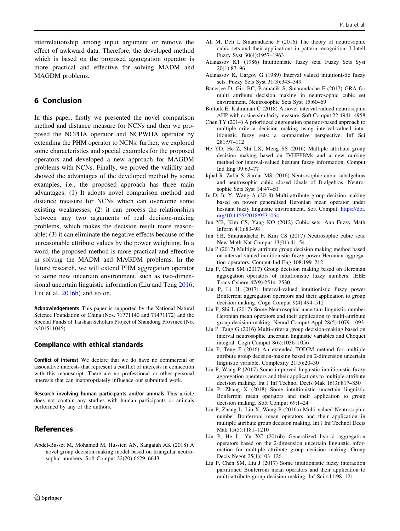<span id="page-25-0"></span>interrelationship among input argument or remove the effect of awkward data. Therefore, the developed method which is based on the proposed aggregation operator is more practical and effective for solving MADM and MAGDM problems.

## 6 Conclusion

In this paper, firstly we presented the novel comparison method and distance measure for NCNs and then we proposed the NCPHA operator and NCPWHA operator by extending the PHM operator to NCNs; further, we explored some characteristics and special examples for the proposed operators and developed a new approach for MAGDM problems with NCNs. Finally, we proved the validity and showed the advantages of the developed method by some examples, i.e., the proposed approach has three main advantages: (1) It adopts novel comparison method and distance measure for NCNs which can overcome some existing weaknesses; (2) it can process the relationships between any two arguments of real decision-making problems, which makes the decision result more reasonable; (3) it can eliminate the negative effects because of the unreasonable attribute values by the power weighting. In a word, the proposed method is more practical and effective in solving the MADM and MAGDM problems. In the future research, we will extend PHM aggregation operator to some new uncertain environment, such as two-dimensional uncertain linguistic information (Liu and Teng 2016; Liu et al. 2016b) and so on.

Acknowledgements This paper is supported by the National Natural Science Foundation of China (Nos. 71771140 and 71471172) and the Special Funds of Taishan Scholars Project of Shandong Province (No. ts201511045).

### Compliance with ethical standards

Conflict of interest We declare that we do have no commercial or associative interests that represent a conflict of interests in connection with this manuscript. There are no professional or other personal interests that can inappropriately influence our submitted work.

Research involving human participants and/or animals This article does not contain any studies with human participants or animals performed by any of the authors.

# References

Abdel-Basset M, Mohamed M, Hussien AN, Sangaiah AK (2018) A novel group decision-making model based on triangular neutrosophic numbers. Soft Comput 22(20):6629–6643

- Ali M, Deli I, Smarandache F (2016) The theory of neutrosophic cubic sets and their applications in pattern recognition. J Intell Fuzzy Syst 30(4):1957–1963
- Atanassov KT (1986) Intuitionistic fuzzy sets. Fuzzy Sets Syst 20(1):87–96
- Atanassov K, Gargov G (1989) Interval valued intuitionistic fuzzy sets. Fuzzy Sets Syst 31(3):343–349
- Banerjee D, Giri BC, Pramanik S, Smarandache F (2017) GRA for multi attribute decision making in neutrosophic cubic set environment. Neutrosophic Sets Syst 15:60–69
- Bolturk E, Kahraman C (2018) A novel interval-valued neutrosophic AHP with cosine similarity measure. Soft Comput 22:4941–4958
- Chen TY (2014) A prioritized aggregation operator-based approach to multiple criteria decision making using interval-valued intuitionistic fuzzy sets: a comparative perspective. Inf Sci 281:97–112
- He YD, He Z, Shi LX, Meng SS (2016) Multiple attribute group decision making based on IVHFPBMs and a new ranking method for interval-valued hesitant fuzzy information. Comput Ind Eng 99:63–77
- Iqbal R, Zafar S, Sardar MS (2016) Neutrosophic cubic subalgebras and neutrosophic cubic closed ideals of B-algebras. Neutrosophic Sets Syst 14:47–60
- Ju D, Ju Y, Wang A (2018) Multi-attribute group decision making based on power generalized Heronian mean operator under hesitant fuzzy linguistic environment. Soft Comput. [https://doi.](https://doi.org/10.1155/2018/9531064) [org/10.1155/2018/9531064](https://doi.org/10.1155/2018/9531064)
- Jun YB, Kim CS, Yang KO (2012) Cubic sets. Ann Fuzzy Math Inform 4(1):83–98
- Jun YB, Smarandache F, Kim CS (2017) Neutrosophic cubic sets. New Math Nat Comput 13(01):41–54
- Liu P (2017) Multiple attribute group decision making method based on interval-valued intuitionistic fuzzy power Heronian aggregation operators. Comput Ind Eng 108:199–212
- Liu P, Chen SM (2017) Group decision making based on Heronian aggregation operators of intuitionistic fuzzy numbers. IEEE Trans Cybern 47(9):2514–2530
- Liu P, Li H (2017) Interval-valued intuitionistic fuzzy power Bonferroni aggregation operators and their application to group decision making. Cogn Comput 9(4):494–512
- Liu P, Shi L (2017) Some Neutrosophic uncertain linguistic number Heronian mean operators and their application to multi-attribute group decision making. Neural Comput Appl 28(5):1079–1093
- Liu P, Tang G (2016) Multi-criteria group decision-making based on interval neutrosophic uncertain linguistic variables and Choquet integral. Cogn Comput 8(6):1036–1056
- Liu P, Teng F (2016) An extended TODIM method for multiple attribute group decision-making based on 2-dimension uncertain linguistic variable. Complexity 21(5):20–30
- Liu P, Wang P (2017) Some improved linguistic intuitionistic fuzzy aggregation operators and their applications to multiple-attribute decision making. Int J Inf Technol Decis Mak 16(3):817–850
- Liu P, Zhang X (2018) Some intuitionistic uncertain linguistic Bonferroni mean operators and their application to group decision making. Soft Comput 69:1–24
- Liu P, Zhang L, Liu X, Wang P (2016a) Multi-valued Neutrosophic number Bonferroni mean operators and their application in multiple attribute group decision making. Int J Inf Technol Decis Mak 15(5):1181–1210
- Liu P, He L, Yu XC (2016b) Generalized hybrid aggregation operators based on the 2-dimension uncertain linguistic information for multiple attribute group decision making. Group Decis Negot 25(1):103–126
- Liu P, Chen SM, Liu J (2017) Some intuitionistic fuzzy interaction partitioned Bonferroni mean operators and their application to multi-attribute group decision making. Inf Sci 411:98–121